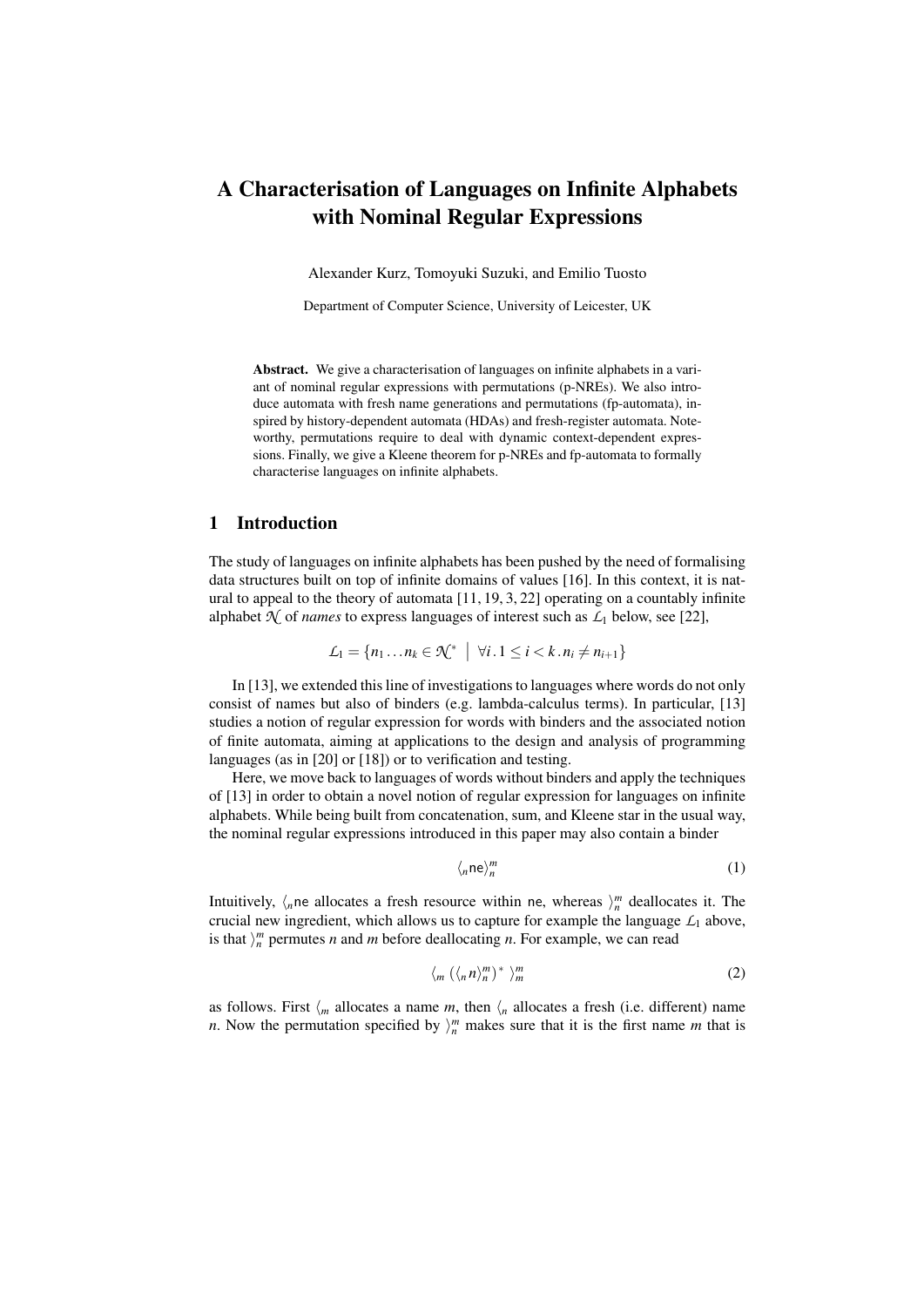# A Characterisation of Languages on Infinite Alphabets with Nominal Regular Expressions

Alexander Kurz, Tomoyuki Suzuki, and Emilio Tuosto

Department of Computer Science, University of Leicester, UK

Abstract. We give a characterisation of languages on infinite alphabets in a variant of nominal regular expressions with permutations (p-NREs). We also introduce automata with fresh name generations and permutations (fp-automata), inspired by history-dependent automata (HDAs) and fresh-register automata. Noteworthy, permutations require to deal with dynamic context-dependent expressions. Finally, we give a Kleene theorem for p-NREs and fp-automata to formally characterise languages on infinite alphabets.

# 1 Introduction

The study of languages on infinite alphabets has been pushed by the need of formalising data structures built on top of infinite domains of values [16]. In this context, it is natural to appeal to the theory of automata [11, 19, 3, 22] operating on a countably infinite alphabet  $\mathcal{N}$  of *names* to express languages of interest such as  $\mathcal{L}_1$  below, see [22],

$$
\mathcal{L}_1 = \{n_1 \dots n_k \in \mathcal{K}^* \mid \forall i \dots 1 \leq i < k \dots n_i \neq n_{i+1}\}
$$

In [13], we extended this line of investigations to languages where words do not only consist of names but also of binders (e.g. lambda-calculus terms). In particular, [13] studies a notion of regular expression for words with binders and the associated notion of finite automata, aiming at applications to the design and analysis of programming languages (as in [20] or [18]) or to verification and testing.

Here, we move back to languages of words without binders and apply the techniques of [13] in order to obtain a novel notion of regular expression for languages on infinite alphabets. While being built from concatenation, sum, and Kleene star in the usual way, the nominal regular expressions introduced in this paper may also contain a binder

$$
\langle_n \mathsf{ne} \rangle_n^m \tag{1}
$$

Intuitively,  $\langle n \rangle$  ne allocates a fresh resource within ne, whereas  $\rangle_{n}^{m}$  deallocates it. The crucial new ingredient, which allows us to capture for example the language  $\mathcal{L}_1$  above, is that  $\mathcal{C}_n^m$  permutes *n* and *m* before deallocating *n*. For example, we can read

$$
\langle_m (\langle_n n \rangle_n^m)^* \rangle_m^m \tag{2}
$$

as follows. First  $\langle m \rangle$  allocates a name *m*, then  $\langle n \rangle$  allocates a fresh (i.e. different) name *n*. Now the permutation specified by  $\mathcal{C}_n^m$  makes sure that it is the first name *m* that is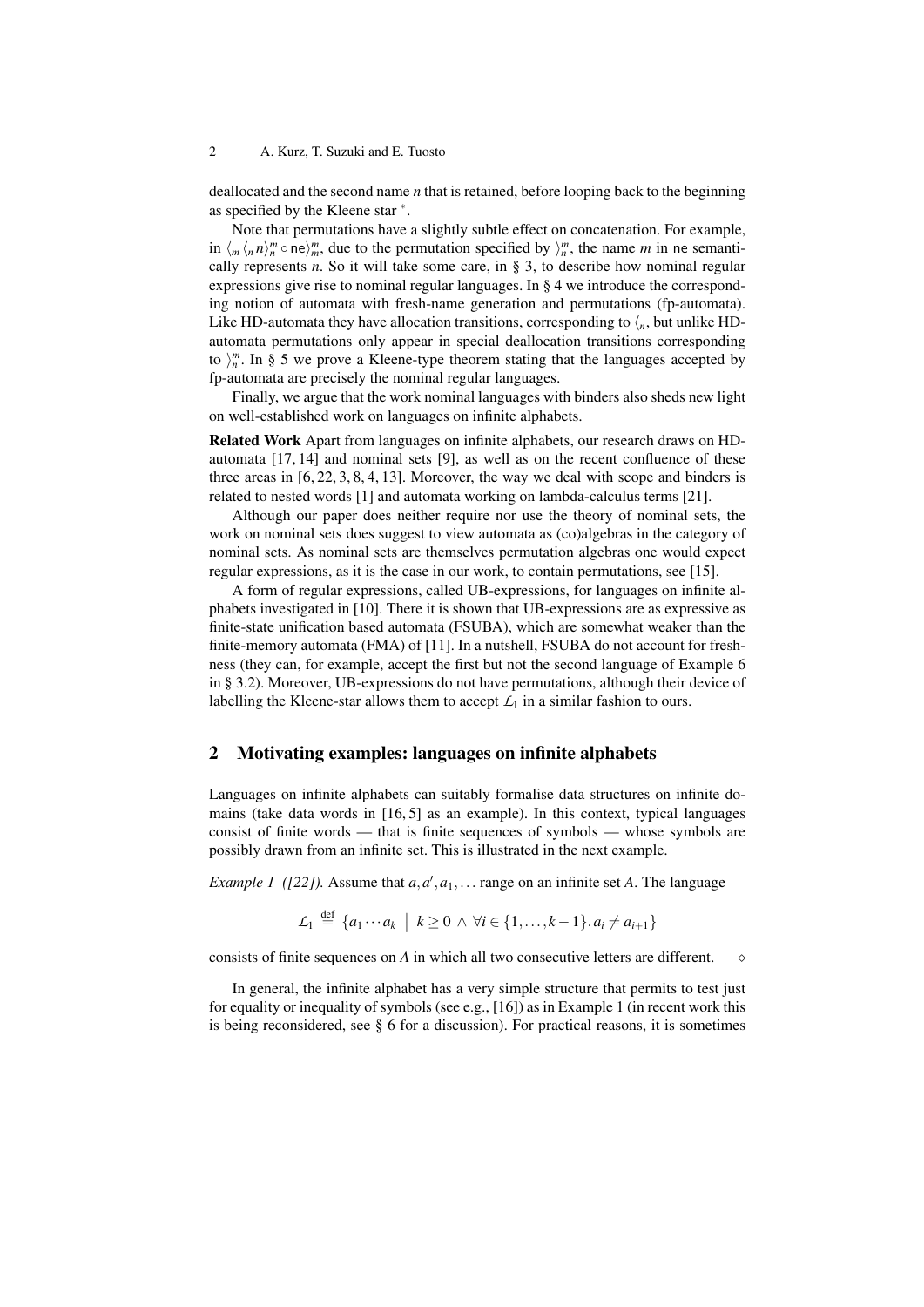deallocated and the second name *n* that is retained, before looping back to the beginning as specified by the Kleene star ∗ .

Note that permutations have a slightly subtle effect on concatenation. For example, in  $\langle m \rangle_m^n$  one)<sup>*m*</sup>, due to the permutation specified by  $\rangle_n^m$ , the name *m* in ne semantically represents  $n$ . So it will take some care, in  $\S$  3, to describe how nominal regular expressions give rise to nominal regular languages. In § 4 we introduce the corresponding notion of automata with fresh-name generation and permutations (fp-automata). Like HD-automata they have allocation transitions, corresponding to  $\langle n,$  but unlike HDautomata permutations only appear in special deallocation transitions corresponding to  $\binom{m}{n}$ . In § 5 we prove a Kleene-type theorem stating that the languages accepted by fp-automata are precisely the nominal regular languages.

Finally, we argue that the work nominal languages with binders also sheds new light on well-established work on languages on infinite alphabets.

Related Work Apart from languages on infinite alphabets, our research draws on HDautomata [17, 14] and nominal sets [9], as well as on the recent confluence of these three areas in [6, 22, 3, 8, 4, 13]. Moreover, the way we deal with scope and binders is related to nested words [1] and automata working on lambda-calculus terms [21].

Although our paper does neither require nor use the theory of nominal sets, the work on nominal sets does suggest to view automata as (co)algebras in the category of nominal sets. As nominal sets are themselves permutation algebras one would expect regular expressions, as it is the case in our work, to contain permutations, see [15].

A form of regular expressions, called UB-expressions, for languages on infinite alphabets investigated in [10]. There it is shown that UB-expressions are as expressive as finite-state unification based automata (FSUBA), which are somewhat weaker than the finite-memory automata (FMA) of [11]. In a nutshell, FSUBA do not account for freshness (they can, for example, accept the first but not the second language of Example 6 in § 3.2). Moreover, UB-expressions do not have permutations, although their device of labelling the Kleene-star allows them to accept  $L_1$  in a similar fashion to ours.

# 2 Motivating examples: languages on infinite alphabets

Languages on infinite alphabets can suitably formalise data structures on infinite domains (take data words in [16, 5] as an example). In this context, typical languages consist of finite words — that is finite sequences of symbols — whose symbols are possibly drawn from an infinite set. This is illustrated in the next example.

*Example 1* ([22]). Assume that  $a, a', a_1, \ldots$  range on an infinite set *A*. The language

$$
\mathcal{L}_1 \stackrel{\text{def}}{=} \{a_1 \cdots a_k \mid k \geq 0 \land \forall i \in \{1, \ldots, k-1\}. a_i \neq a_{i+1}\}\
$$

consists of finite sequences on *A* in which all two consecutive letters are different.

In general, the infinite alphabet has a very simple structure that permits to test just for equality or inequality of symbols (see e.g., [16]) as in Example 1 (in recent work this is being reconsidered, see § 6 for a discussion). For practical reasons, it is sometimes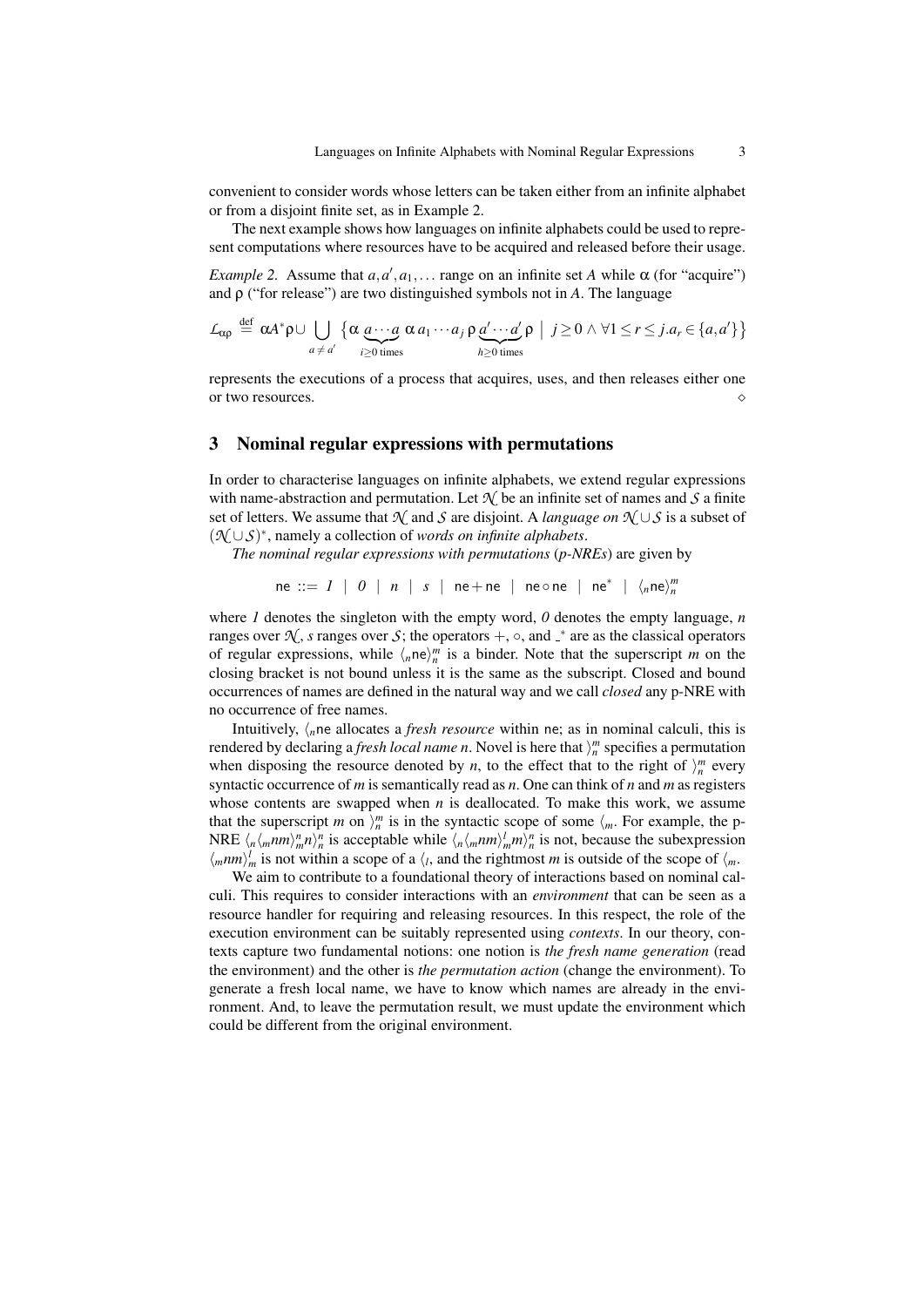convenient to consider words whose letters can be taken either from an infinite alphabet or from a disjoint finite set, as in Example 2.

The next example shows how languages on infinite alphabets could be used to represent computations where resources have to be acquired and released before their usage.

*Example 2.* Assume that  $a, a', a_1, \ldots$  range on an infinite set *A* while  $\alpha$  (for "acquire") and ρ ("for release") are two distinguished symbols not in *A*. The language

$$
\mathcal{L}_{\alpha\rho} \stackrel{\text{def}}{=} \alpha A^* \rho \cup \bigcup_{a \neq a'} \left\{ \alpha \underbrace{a \cdots a}_{i \geq 0 \text{ times}} \alpha a_1 \cdots a_j \rho \underbrace{a' \cdots a'}_{h \geq 0 \text{ times}} \rho \middle| j \geq 0 \land \forall 1 \leq r \leq j \ldots a_r \in \{a, a'\} \right\}
$$

represents the executions of a process that acquires, uses, and then releases either one or two resources.

# 3 Nominal regular expressions with permutations

In order to characterise languages on infinite alphabets, we extend regular expressions with name-abstraction and permutation. Let  $\mathcal{N}$  be an infinite set of names and  $\mathcal{S}$  a finite set of letters. We assume that  $\mathcal{N}$  and  $\mathcal{S}$  are disjoint. A *language on*  $\mathcal{N} \cup \mathcal{S}$  is a subset of (*N* ∪*S*) ∗ , namely a collection of *words on infinite alphabets*.

*The nominal regular expressions with permutations* (*p-NREs*) are given by

 $ne ::= I \mid 0 \mid n \mid s \mid ne+ne \mid ne \circ ne \mid ne^* \mid \langle_n ne \rangle_n^m$ 

where *1* denotes the singleton with the empty word,  $\theta$  denotes the empty language,  $n$ ranges over  $\mathcal{N}$ , *s* ranges over *S*; the operators +,  $\circ$ , and  $\mathcal{N}$  are as the classical operators of regular expressions, while  $\langle n^m \rangle_n^m$  is a binder. Note that the superscript *m* on the closing bracket is not bound unless it is the same as the subscript. Closed and bound occurrences of names are defined in the natural way and we call *closed* any p-NRE with no occurrence of free names.

Intuitively,  $\langle_{n}$ ne allocates a *fresh resource* within ne; as in nominal calculi, this is rendered by declaring a *fresh local name n*. Novel is here that  $\binom{m}{n}$  specifies a permutation when disposing the resource denoted by *n*, to the effect that to the right of  $\binom{m}{n}$  every syntactic occurrence of *m* is semantically read as *n*. One can think of *n* and *m* as registers whose contents are swapped when *n* is deallocated. To make this work, we assume that the superscript *m* on  $\}_{n=0}^{m}$  is in the syntactic scope of some  $\langle m$ . For example, the p-NRE  $\langle n \langle mnm \rangle_m^n n \rangle_n^n$  is acceptable while  $\langle n \langle mnm \rangle_m^n m \rangle_n^n$  is not, because the subexpression  $\langle mnm \rangle_m^l$  is not within a scope of a  $\langle l, \rangle$  and the rightmost *m* is outside of the scope of  $\langle m, \rangle_m^l$ 

We aim to contribute to a foundational theory of interactions based on nominal calculi. This requires to consider interactions with an *environment* that can be seen as a resource handler for requiring and releasing resources. In this respect, the role of the execution environment can be suitably represented using *contexts*. In our theory, contexts capture two fundamental notions: one notion is *the fresh name generation* (read the environment) and the other is *the permutation action* (change the environment). To generate a fresh local name, we have to know which names are already in the environment. And, to leave the permutation result, we must update the environment which could be different from the original environment.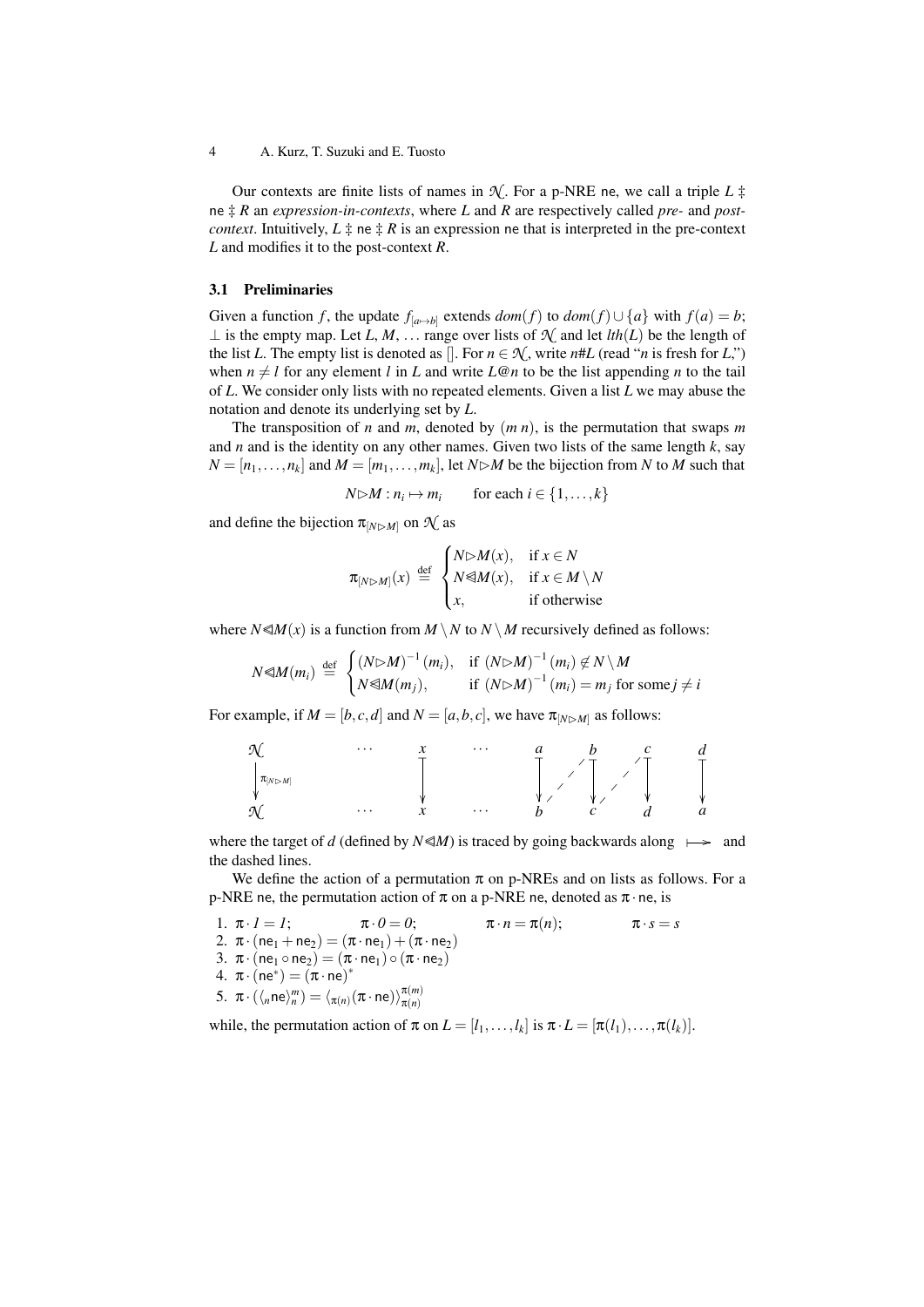Our contexts are finite lists of names in  $\mathcal{N}$ . For a p-NRE ne, we call a triple *L*  $\ddagger$ ne ‡ *R* an *expression-in-contexts*, where *L* and *R* are respectively called *pre-* and *postcontext*. Intuitively,  $L \ddagger$  ne  $\ddagger$  *R* is an expression ne that is interpreted in the pre-context *L* and modifies it to the post-context *R*.

#### 3.1 Preliminaries

Given a function *f*, the update  $f_{[a\rightarrow b]}$  extends  $dom(f)$  to  $dom(f) \cup \{a\}$  with  $f(a) = b$ ; ⊥ is the empty map. Let *L*, *M*, ... range over lists of  $\mathcal{N}$  and let *lth*(*L*) be the length of the list *L*. The empty list is denoted as []. For  $n \in \mathcal{N}$ , write  $n \# L$  (read "*n* is fresh for *L*,") when  $n \neq l$  for any element *l* in *L* and write *L*@*n* to be the list appending *n* to the tail of *L*. We consider only lists with no repeated elements. Given a list *L* we may abuse the notation and denote its underlying set by *L*.

The transposition of *n* and *m*, denoted by (*m n*), is the permutation that swaps *m* and *n* and is the identity on any other names. Given two lists of the same length *k*, say  $N = [n_1, \ldots, n_k]$  and  $M = [m_1, \ldots, m_k]$ , let  $N \triangleright M$  be the bijection from *N* to *M* such that

$$
N \triangleright M : n_i \mapsto m_i \qquad \text{for each } i \in \{1, \dots, k\}
$$

and define the bijection  $\pi_{[N \triangleright M]}$  on  $\mathcal{N}$  as

$$
\pi_{[N \triangleright M]}(x) \stackrel{\text{def}}{=} \begin{cases} N \triangleright M(x), & \text{if } x \in N \\ N \triangleleft M(x), & \text{if } x \in M \setminus N \\ x, & \text{if otherwise} \end{cases}
$$

where  $N \le M(x)$  is a function from  $M \setminus N$  to  $N \setminus M$  recursively defined as follows:

$$
N \triangleleft M(m_i) \stackrel{\text{def}}{=} \begin{cases} (N \triangleright M)^{-1} (m_i), & \text{if } (N \triangleright M)^{-1} (m_i) \not\in N \setminus M \\ N \triangleleft M(m_j), & \text{if } (N \triangleright M)^{-1} (m_i) = m_j \text{ for some } j \neq i \end{cases}
$$

For example, if  $M = [b, c, d]$  and  $N = [a, b, c]$ , we have  $\pi_{[N \triangleright M]}$  as follows:

| $\mathcal{N}$             | ...                       | x                         | ...                       | a                         | b                         | c                         | d                         |                           |                           |                           |                           |                           |                           |                           |                           |                           |                           |                           |                           |                           |                           |                           |                           |                           |                           |                           |                           |                           |                           |                           |                           |                           |
|---------------------------|---------------------------|---------------------------|---------------------------|---------------------------|---------------------------|---------------------------|---------------------------|---------------------------|---------------------------|---------------------------|---------------------------|---------------------------|---------------------------|---------------------------|---------------------------|---------------------------|---------------------------|---------------------------|---------------------------|---------------------------|---------------------------|---------------------------|---------------------------|---------------------------|---------------------------|---------------------------|---------------------------|---------------------------|---------------------------|---------------------------|---------------------------|---------------------------|
| $\sqrt{\pi_{[N \rhd M]}}$ | $\sqrt{\pi_{[N \rhd M]}}$ | $\sqrt{\pi_{[N \rhd M]}}$ | $\sqrt{\pi_{[N \rhd M]}}$ | $\sqrt{\pi_{[N \rhd M]}}$ | $\sqrt{\pi_{[N \rhd M]}}$ | $\sqrt{\pi_{[N \rhd M]}}$ | $\sqrt{\pi_{[N \rhd M]}}$ | $\sqrt{\pi_{[N \rhd M]}}$ | $\sqrt{\pi_{[N \rhd M]}}$ | $\sqrt{\pi_{[N \rhd M]}}$ | $\sqrt{\pi_{[N \rhd M]}}$ | $\sqrt{\pi_{[N \rhd M]}}$ | $\sqrt{\pi_{[N \rhd M]}}$ | $\sqrt{\pi_{[N \rhd M]}}$ | $\sqrt{\pi_{[N \rhd M]}}$ | $\sqrt{\pi_{[N \rhd M]}}$ | $\sqrt{\pi_{[N \rhd M]}}$ | $\sqrt{\pi_{[N \rhd M]}}$ | $\sqrt{\pi_{[N \rhd M]}}$ | $\sqrt{\pi_{[N \rhd M]}}$ | $\sqrt{\pi_{[N \rhd M]}}$ | $\sqrt{\pi_{[N \rhd M]}}$ | $\sqrt{\pi_{[N \rhd M]}}$ | $\sqrt{\pi_{[N \rhd M]}}$ | $\sqrt{\pi_{[N \rhd M]}}$ | $\sqrt{\pi_{[N \rhd M]}}$ | $\sqrt{\pi_{[N \rhd M]}}$ | $\sqrt{\pi_{[N \rhd M]}}$ | $\sqrt{\pi_{[N \rhd M]}}$ | $\sqrt{\pi_{[N \rhd M]}}$ | $\sqrt{\pi_{[N \rhd M]}}$ | $\sqrt{\pi_{[N \rhd M]}}$ |

where the target of *d* (defined by  $N \le M$ ) is traced by going backwards along  $\rightarrow$  and the dashed lines.

We define the action of a permutation  $\pi$  on p-NREs and on lists as follows. For a p-NRE ne, the permutation action of  $\pi$  on a p-NRE ne, denoted as  $\pi \cdot$  ne, is

1. 
$$
\pi \cdot I = I
$$
;  $\pi \cdot 0 = 0$ ;  $\pi \cdot n = \pi(n)$ ;  $\pi \cdot s = s$   
\n2.  $\pi \cdot (\text{ne}_1 + \text{ne}_2) = (\pi \cdot \text{ne}_1) + (\pi \cdot \text{ne}_2)$   
\n3.  $\pi \cdot (\text{ne}_1 \circ \text{ne}_2) = (\pi \cdot \text{ne}_1) \circ (\pi \cdot \text{ne}_2)$   
\n4.  $\pi \cdot (\text{ne}^*) = (\pi \cdot \text{ne})^*$   
\n5.  $\pi \cdot (\langle_n \text{ne}} \rangle_m^m) = \langle_{\pi(n)} (\pi \cdot \text{ne}) \rangle_{\pi(n)}^{\pi(m)}$ 

while, the permutation action of  $\pi$  on  $L = [l_1, \ldots, l_k]$  is  $\pi \cdot L = [\pi(l_1), \ldots, \pi(l_k)]$ .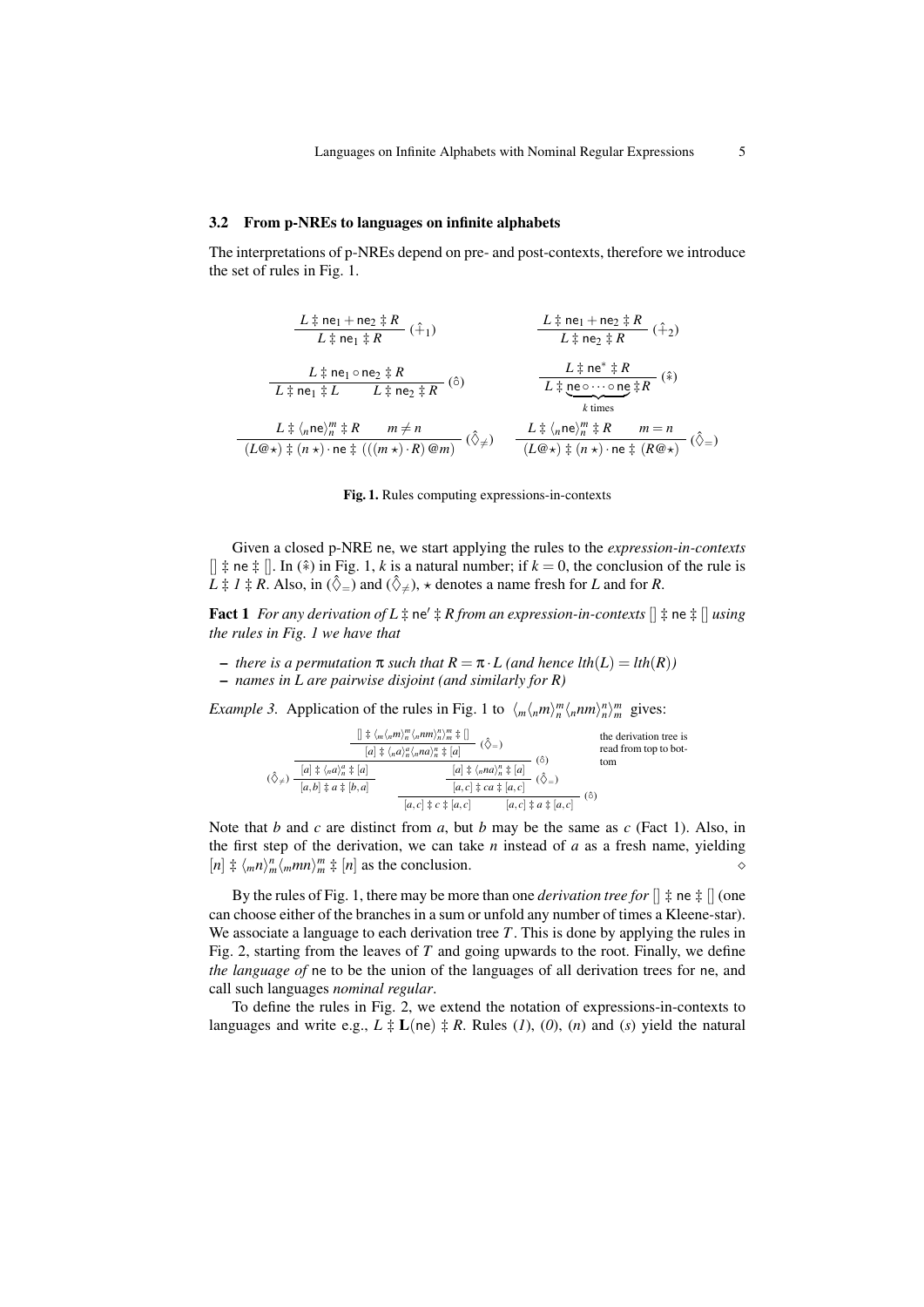#### 3.2 From p-NREs to languages on infinite alphabets

The interpretations of p-NREs depend on pre- and post-contexts, therefore we introduce the set of rules in Fig. 1.

| $L \ddagger n e_1 + n e_2 \ddagger R$ | $L \ddagger n e_1 \ddagger R$ | $L \ddagger n e_1 + n e_2 \ddagger R$ | $L \ddagger n e_1 \ddagger R$ | $L \ddagger n e_2 \ddagger R$ | $L \ddagger n e_2 \ddagger R$ | $L \ddagger n e_2 \ddagger R$ | $L \ddagger n e_2 \ddagger R$ | $L \ddagger n e_2 \ddagger R$ | $L \ddagger n e_2 \ddagger R$ | $L \ddagger n e_2 \ddagger R$ | $L \ddagger n e_2 \ddagger n e_2 \ddagger n e_2 \ddagger n e_2 \ddagger n e_2 \ddagger n e_2 \ddagger n e_2 \ddagger n e_2 \ddagger n e_2 \ddagger n e_2 \ddagger n e_2 \ddagger n e_2 \ddagger n e_2 \ddagger n e_2 \ddagger n e_2 \ddagger n e_2 \ddagger n e_2 \ddagger n e_2 \ddagger n e_2 \ddagger n e_2 \ddagger n e_2 \ddagger n e_2 \ddagger n e_2 \ddagger n e_2 \ddagger n e_2 \ddagger n e_2 \ddagger n e_2 \ddagger n e_2 \ddagger n e_2 \ddagger n e_2 \ddagger n e_2 \ddagger n e_2 \ddagger n e_2 \ddagger n e_2 \ddagger n e_2 \ddagger n e_2 \ddagger n e_2 \ddagger n e_2 \ddagger n e_2 \ddagger n e_2 \ddagger n e_2 \ddagger n e_2 \ddagger n e_2 \ddagger n e_2 \ddagger n e_2 \ddagger n e_2 \ddagger n e_2 \ddagger n e_2 \ddagger n e_2 \ddagger n e_2 \ddagger n e_2 \ddagger n e_2 \ddagger n e_2 \ddagger n e_2 \ddagger n e_2 \ddagger n e_2 \ddagger n e_2 \ddagger n e_2 \ddagger n e_2 \ddagger n e_2 \ddagger n e_2 \ddagger n e_2 \ddagger n e_2 \ddagger n e_2 \ddagger n e_2 \ddagger n e_2 \ddagger n e_2 \ddagger n e_2 \ddagger n e_2 \ddagger n e_2 \ddagger n e_2 \ddagger n e_2 \ddagger n e_2$ |
|---------------------------------------|-------------------------------|---------------------------------------|-------------------------------|-------------------------------|-------------------------------|-------------------------------|-------------------------------|-------------------------------|-------------------------------|-------------------------------|--------------------------------------------------------------------------------------------------------------------------------------------------------------------------------------------------------------------------------------------------------------------------------------------------------------------------------------------------------------------------------------------------------------------------------------------------------------------------------------------------------------------------------------------------------------------------------------------------------------------------------------------------------------------------------------------------------------------------------------------------------------------------------------------------------------------------------------------------------------------------------------------------------------------------------------------------------------------------------------------------------------------------------------------------------------------------------------------------------------------------------------------|
|---------------------------------------|-------------------------------|---------------------------------------|-------------------------------|-------------------------------|-------------------------------|-------------------------------|-------------------------------|-------------------------------|-------------------------------|-------------------------------|--------------------------------------------------------------------------------------------------------------------------------------------------------------------------------------------------------------------------------------------------------------------------------------------------------------------------------------------------------------------------------------------------------------------------------------------------------------------------------------------------------------------------------------------------------------------------------------------------------------------------------------------------------------------------------------------------------------------------------------------------------------------------------------------------------------------------------------------------------------------------------------------------------------------------------------------------------------------------------------------------------------------------------------------------------------------------------------------------------------------------------------------|



Given a closed p-NRE ne, we start applying the rules to the *expression-in-contexts*  $[$   $\ddagger$  ne  $\ddagger$   $\ddagger$ . In (\*) in Fig. 1, *k* is a natural number; if  $k = 0$ , the conclusion of the rule is  $\hat{L}$   $\ddagger$  *I*  $\ddagger$  *R*. Also, in  $(\hat{\diamond}_=)$  and  $(\hat{\diamond}_\neq)$ ,  $\star$  denotes a name fresh for *L* and for *R*.

Fact 1 *For any derivation of L*  $\ddagger$  ne'  $\ddagger$  *R from an expression-in-contexts*  $\left[ \right] \ddagger$  ne  $\ddagger$   $\left[ \right]$  *using the rules in Fig. 1 we have that*

- *there is a permutation* π *such that R* = π ·*L (and hence lth*(*L*) = *lth*(*R*)*)*
- *names in L are pairwise disjoint (and similarly for R)*

*Example 3.* Application of the rules in Fig. 1 to  $\langle m \langle n/m \rangle_n^m \langle n/m \rangle_n^n$  gives:

|                           | $\left[\right] \ddagger \left\langle m \langle_n m \rangle_n^m \langle_n n m \rangle_n^n \right\rangle_m^m \ddagger \left[\right]$<br>$[a] \ddagger \langle_n a \rangle_n^a \langle_n n a \rangle_n^n \ddagger [a]$ | the derivation tree is<br>read from top to bot-                                                             |     |
|---------------------------|---------------------------------------------------------------------------------------------------------------------------------------------------------------------------------------------------------------------|-------------------------------------------------------------------------------------------------------------|-----|
| $(\hat{\Diamond}_{\neq})$ | $[a] \ddagger \langle_n a \rangle_n^a \ddagger [a]$                                                                                                                                                                 | (ô)<br>$[a]$ $\ddagger \langle_n na \rangle_n^n$ $\ddagger [a]$<br>$[a, c]$ $\ddagger ca$ $\ddagger [a, c]$ | tom |
|                           | $[a,b]$ $\ddagger a \ddagger [b,a]$                                                                                                                                                                                 | $(\diamondsuit = )$                                                                                         |     |
|                           |                                                                                                                                                                                                                     | $[a, c] \ddagger a \ddagger [a, c]$<br>$[a, c] \ddagger c \ddagger [a, c]$                                  | (ဝ) |

Note that *b* and *c* are distinct from *a*, but *b* may be the same as *c* (Fact 1). Also, in the first step of the derivation, we can take *n* instead of *a* as a fresh name, yielding  $[n]$   $\neq \langle m n \rangle_m^n / \langle m mn \rangle_m^m \neq [n]$  as the conclusion.

By the rules of Fig. 1, there may be more than one *derivation tree for*  $\|\n\ddagger$  ne  $\ddagger$   $\|$  (one can choose either of the branches in a sum or unfold any number of times a Kleene-star). We associate a language to each derivation tree *T*. This is done by applying the rules in Fig. 2, starting from the leaves of *T* and going upwards to the root. Finally, we define *the language of* ne to be the union of the languages of all derivation trees for ne, and call such languages *nominal regular*.

To define the rules in Fig. 2, we extend the notation of expressions-in-contexts to languages and write e.g.,  $L \ddagger L$  (ne)  $\ddagger R$ . Rules (*1*), (*0*), (*n*) and (*s*) yield the natural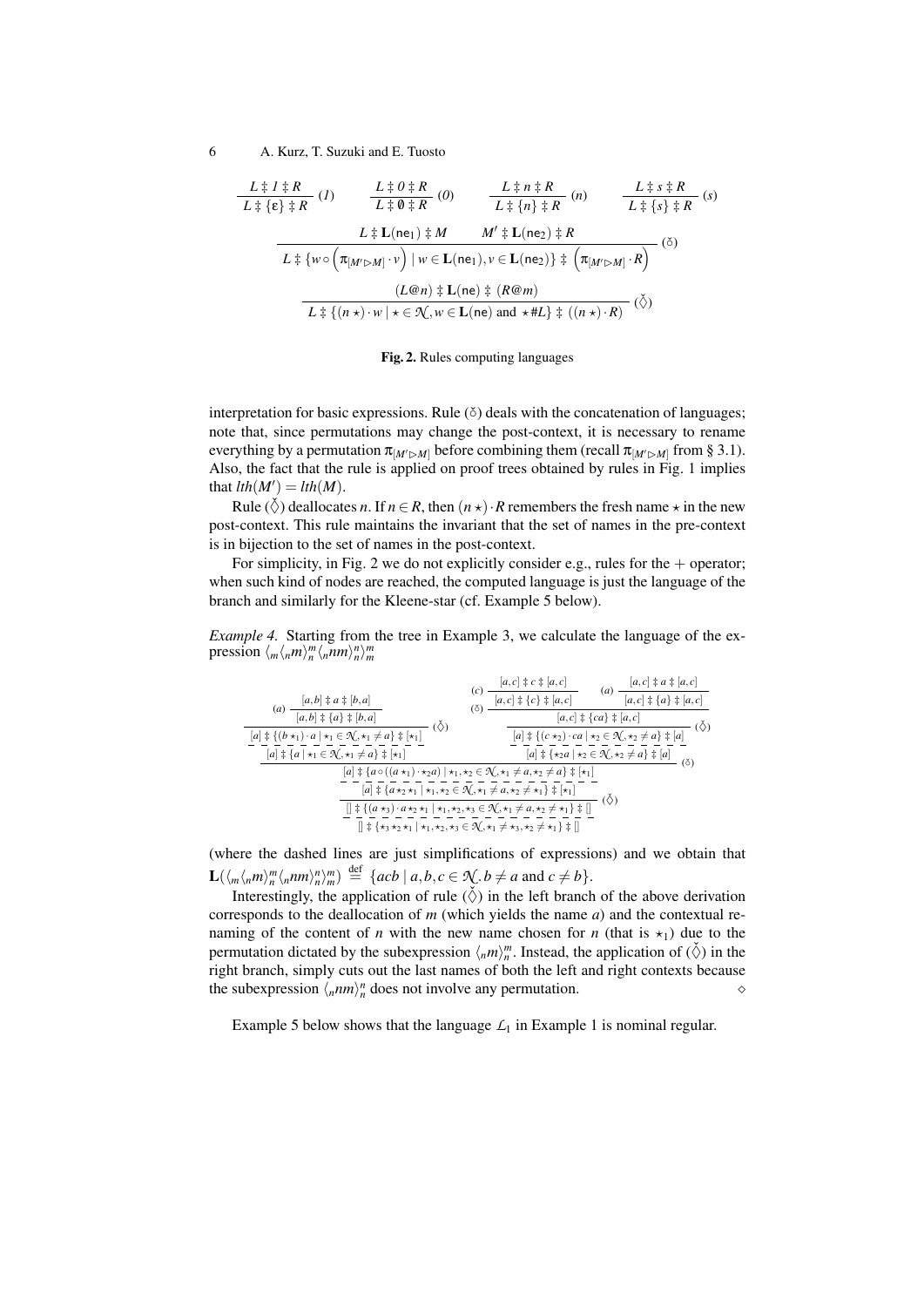$$
\frac{L \ddot{\pm} l \ddot{\pm} R}{L \ddot{\pm} \{\epsilon\} \ddot{\pm} R} (I) \qquad \frac{L \ddot{\pm} 0 \ddot{\pm} R}{L \ddot{\pm} 0 \ddot{\pm} R} (0) \qquad \frac{L \ddot{\pm} n \ddot{\pm} R}{L \ddot{\pm} \{n\} \ddot{\pm} R} (n) \qquad \frac{L \ddot{\pm} s \ddot{\pm} R}{L \ddot{\pm} \{s\} \ddot{\pm} R} (s)
$$
\n
$$
L \ddot{\pm} \text{L}(ne_1) \ddot{\pm} M \qquad M' \ddot{\pm} \text{L}(ne_2) \ddot{\pm} R
$$
\n
$$
L \ddot{\pm} \{w \circ (\pi_{[M' \triangleright M]} \cdot v) \mid w \in \text{L}(ne_1), v \in \text{L}(ne_2) \ddot{\pm} \left(\pi_{[M' \triangleright M]} \cdot R\right)} (5)
$$
\n
$$
\frac{(L@n) \ddot{\pm} \text{L}(ne) \ddot{\pm} (R@m)}{L \ddot{\pm} \{(n \star) \cdot w \mid \star \in \mathcal{R}, w \in \text{L}(ne) \text{ and } \star \# L \ddot{\pm} \left((n \star) \cdot R\right)} (5)
$$

Fig. 2. Rules computing languages

interpretation for basic expressions. Rule (č) deals with the concatenation of languages; note that, since permutations may change the post-context, it is necessary to rename everything by a permutation  $\pi_{[M'\rhd M]}$  before combining them (recall  $\pi_{[M'\rhd M]}$  from § 3.1). Also, the fact that the rule is applied on proof trees obtained by rules in Fig. 1 implies that  $lth(M') = lth(M)$ .

Rule ( $\check{\Diamond}$ ) deallocates *n*. If  $n \in R$ , then  $(n \star) \cdot R$  remembers the fresh name  $\star$  in the new post-context. This rule maintains the invariant that the set of names in the pre-context is in bijection to the set of names in the post-context.

For simplicity, in Fig. 2 we do not explicitly consider e.g., rules for the  $+$  operator; when such kind of nodes are reached, the computed language is just the language of the branch and similarly for the Kleene-star (cf. Example 5 below).

*Example 4.* Starting from the tree in Example 3, we calculate the language of the expression  $\langle m \langle n,m \rangle_n^m \langle n,nm \rangle_n^m \rangle_m^m$ 

| $[a,b] \ddagger a \ddagger [b,a]$<br>(a)                                                                                                                                                                                                                                                                                       | $[a, c] \ddagger c \ddagger [a, c]$<br>(c)<br>$[a, c] \ddagger \{c\} \ddagger [a, c]$<br>ſŏ | $[a, c] \ddagger a \ddagger [a, c]$<br>(a)<br>$[a, c] \ddagger \{a\} \ddagger \{a, c]$                                                              |  |  |
|--------------------------------------------------------------------------------------------------------------------------------------------------------------------------------------------------------------------------------------------------------------------------------------------------------------------------------|---------------------------------------------------------------------------------------------|-----------------------------------------------------------------------------------------------------------------------------------------------------|--|--|
| $\overline{[a,b] \ddagger \{a\} \ddagger [b,a]}$<br>$(\Diamond)$<br>$[a]$ $\ddagger$ { $(b \star_1) \cdot a \mid \star_1 \in \mathcal{N}, \star_1 \neq a$ } $\ddagger$ $\vdash_{1}$ ]                                                                                                                                          |                                                                                             | $[a, c] \ddagger \{ca\} \ddagger [a, c]$<br>$[a]$ $\ddagger$ { $(c \star_2) \cdot ca \mid \star_2 \in \mathcal{N}, \star_2 \neq a$ } $\ddagger$ [a] |  |  |
| $[a]$ $\ddagger$ {a   $\star_1 \in \mathcal{N}, \star_1 \neq a$ } $\ddagger$ [ $\star_1$ ]                                                                                                                                                                                                                                     |                                                                                             | $[a]$ $\ddagger \{ \star_2 a \mid \star_2 \in \mathcal{N}, \star_2 \neq a \}$ $\ddagger [a]$<br>(5)                                                 |  |  |
| $[a]$ $\ddagger$ { $a \circ ((a \star_1) \cdot \star_2 a)   \star_1, \star_2 \in \mathcal{N}, \star_1 \neq a, \star_2 \neq a$ } $\ddagger$ [ $\star_1$ ]<br>$[a]$ $\ddagger$ { $a \star_2 \star_1   \star_1, \star_2 \in \mathcal{N}, \star_1 \neq a, \star_2 \neq \star_1$ } $\ddagger$ [ $\star_1$ ]                         |                                                                                             |                                                                                                                                                     |  |  |
| $(\Diamond)$<br>$[\frac{1}{2} \{ (a \star_3) \cdot a \star_2 \star_1   \star_1, \star_2, \star_3 \in \mathcal{N}, \star_1 \neq a, \star_2 \neq \star_1 \} \ddagger]$<br>$[] \ddagger \{ \star_3 \star_2 \star_1   \star_1, \star_2, \star_3 \in \mathcal{N}, \star_1 \neq \star_3, \star_2 \neq \star_1 \} \ddagger \parallel$ |                                                                                             |                                                                                                                                                     |  |  |

(where the dashed lines are just simplifications of expressions) and we obtain that  $\mathbf{L}(\langle m \langle n,m \rangle_n^m \langle nnm \rangle_n^n)^m) \stackrel{\text{def}}{=} \{ acb \mid a,b,c \in \mathcal{N}, b \neq a \text{ and } c \neq b \}.$ 

Interestingly, the application of rule  $(\check{\Diamond})$  in the left branch of the above derivation corresponds to the deallocation of *m* (which yields the name *a*) and the contextual renaming of the content of *n* with the new name chosen for *n* (that is  $\star_1$ ) due to the permutation dictated by the subexpression  $\langle n,m \rangle_n^m$ . Instead, the application of  $(\check{\diamond})$  in the right branch, simply cuts out the last names of both the left and right contexts because the subexpression  $\langle nnm \rangle_n^n$  does not involve any permutation.

Example 5 below shows that the language  $L_1$  in Example 1 is nominal regular.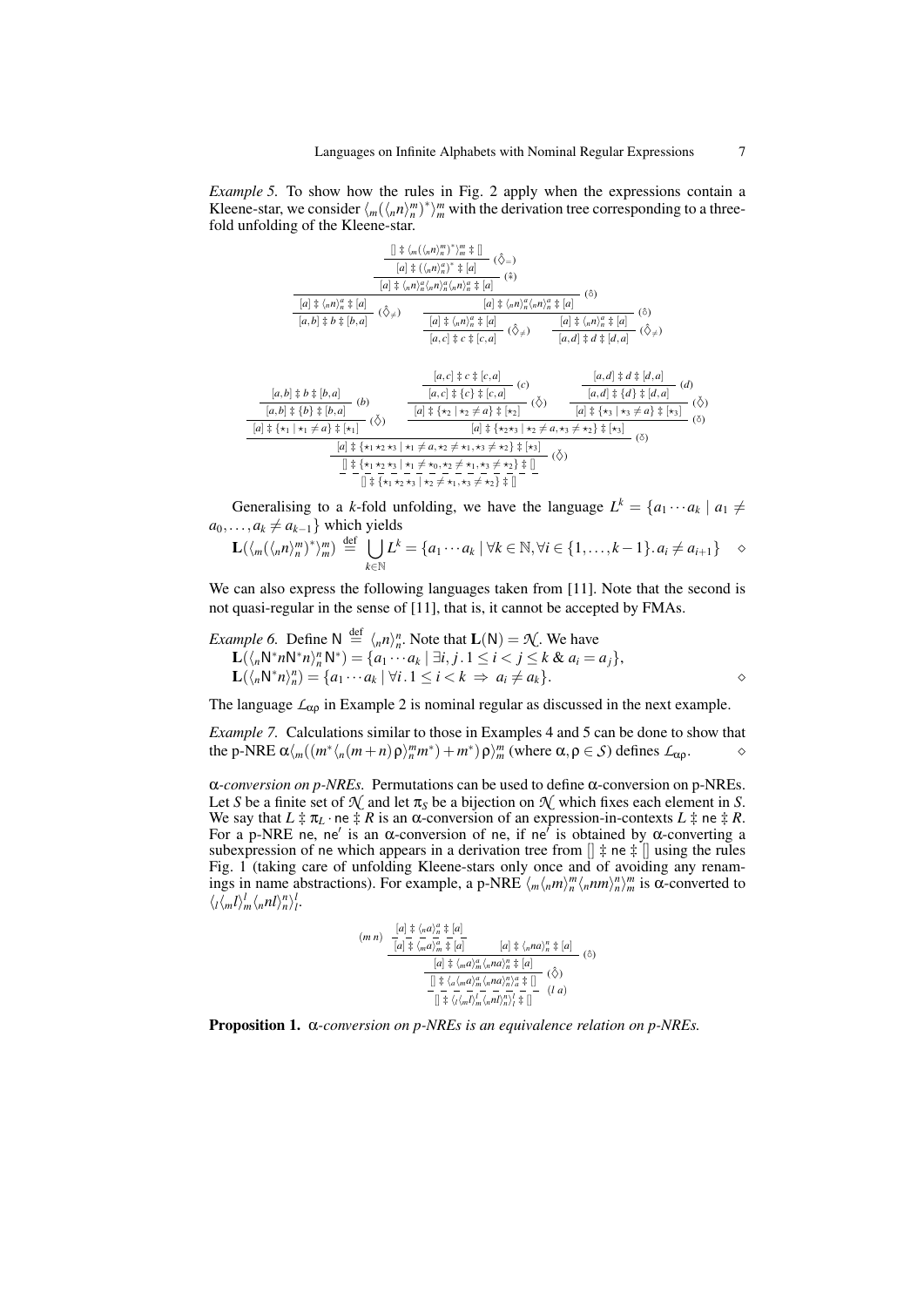*Example 5.* To show how the rules in Fig. 2 apply when the expressions contain a Kleene-star, we consider  $\langle m(\langle n/n \rangle_n^m)^* \rangle_m^m$  with the derivation tree corresponding to a threefold unfolding of the Kleene-star.



Generalising to a *k*-fold unfolding, we have the language  $L^k = \{a_1 \cdots a_k \mid a_1 \neq a_2 \}$  $a_0, \ldots, a_k \neq a_{k-1}$ } which yields

$$
\mathbf{L}(\langle m(\langle n,n \rangle_n^m)^* \rangle_m^m) \stackrel{\text{def}}{=} \bigcup_{k \in \mathbb{N}} L^k = \{a_1 \cdots a_k \mid \forall k \in \mathbb{N}, \forall i \in \{1, \ldots, k-1\}. a_i \neq a_{i+1}\} \quad \diamond
$$

We can also express the following languages taken from [11]. Note that the second is not quasi-regular in the sense of [11], that is, it cannot be accepted by FMAs.

*Example 6.* Define N 
$$
\stackrel{\text{def}}{=} \langle_n n \rangle_n^n
$$
. Note that  $\mathbf{L}(N) = \mathcal{N}$ . We have  
\n
$$
\mathbf{L}(\langle_n \mathsf{N}^* n \mathsf{N}^* n \rangle_n^n \mathsf{N}^*) = \{a_1 \cdots a_k \mid \exists i, j \in \mathbb{N} \leq i < j \leq k \& a_i = a_j\},
$$
\n
$$
\mathbf{L}(\langle_n \mathsf{N}^* n \rangle_n^n) = \{a_1 \cdots a_k \mid \forall i \in \mathbb{N} \leq i < k \Rightarrow a_i \neq a_k\}.
$$

The language  $\mathcal{L}_{\alpha\rho}$  in Example 2 is nominal regular as discussed in the next example.

*Example 7.* Calculations similar to those in Examples 4 and 5 can be done to show that the p-NRE  $\alpha\langle m((m^*\langle n(m+n)\rho\rangle_m^m m^*)+m^*)\rho\rangle_m^m$  (where  $\alpha, \rho \in S$ ) defines  $\mathcal{L}_{\alpha\rho}$ .

α*-conversion on p-NREs.* Permutations can be used to define α-conversion on p-NREs. Let *S* be a finite set of  $\mathcal{N}$  and let  $\pi_S$  be a bijection on  $\mathcal{N}$  which fixes each element in *S*. We say that  $L \ddagger \pi_L \cdot ne \ddagger R$  is an  $\alpha$ -conversion of an expression-in-contexts  $L \ddagger ne \ddagger R$ . For a p-NRE ne, ne' is an α-conversion of ne, if ne' is obtained by α-converting a subexpression of ne which appears in a derivation tree from  $[] \neq \mathsf{ne} \neq []$  using the rules Fig. 1 (taking care of unfolding Kleene-stars only once and of avoiding any renamings in name abstractions). For example, a p-NRE  $\langle m \langle n,m \rangle_n^m \langle n,m \rangle_n^n \rangle_m^m$  is  $\alpha$ -converted to  $\langle \frac{l}{m} \langle \frac{m}{m} \langle \frac{n}{m} \rangle \frac{l}{n} \rangle \frac{l}{l}.$ 

$$
(m n) \frac{\begin{array}{r} \left[a\right] \ddagger \left\langle \frac{a}{m} a \right\rangle_{m}^{a} \ddagger \left[a\right]}{\left[a\right] \ddagger \left\langle \frac{a}{m} a \right\rangle_{m}^{a} \ddagger \left[a\right]} \qquad \left[a\right] \ddagger \left\langle \frac{a}{m} a \right\rangle_{n}^{n} \ddagger \left[a\right]} \qquad \left(\hat{\circ}\right) \\ \frac{\begin{array}{r} \left[a\right] \ddagger \left\langle \frac{a}{m} a \right\rangle_{m}^{a} \left\langle \frac{a}{m} a \right\rangle_{n}^{a} \ddagger \left[a\right]}{\left[\frac{1}{m} \dagger \left\langle \frac{a}{m} a \right\rangle_{m}^{a} \left\langle \frac{a}{m} a \right\rangle_{n}^{n} \right] \frac{a}{m} \ddagger \left[\frac{a}{m} \right]} \qquad \left(\hat{\diamond}\right) \\ \frac{\begin{array}{r} \left[\frac{1}{m} \left\langle \frac{a}{m} a \right\rangle_{m}^{a} \left\langle \frac{a}{m} a \right\rangle_{m}^{n} \right] \frac{a}{m} \frac{a}{m} \end{array} \right]}{\left[\frac{1}{m} \left\langle \frac{a}{m} \left\langle \frac{a}{m} a \right\rangle_{m}^{a} \left\langle \frac{a}{m} a \right\rangle_{n}^{n} \right| \frac{a}{m} \left[\frac{a}{m} \right]} \qquad (1 \ a) \end{array}
$$

Proposition 1. α*-conversion on p-NREs is an equivalence relation on p-NREs.*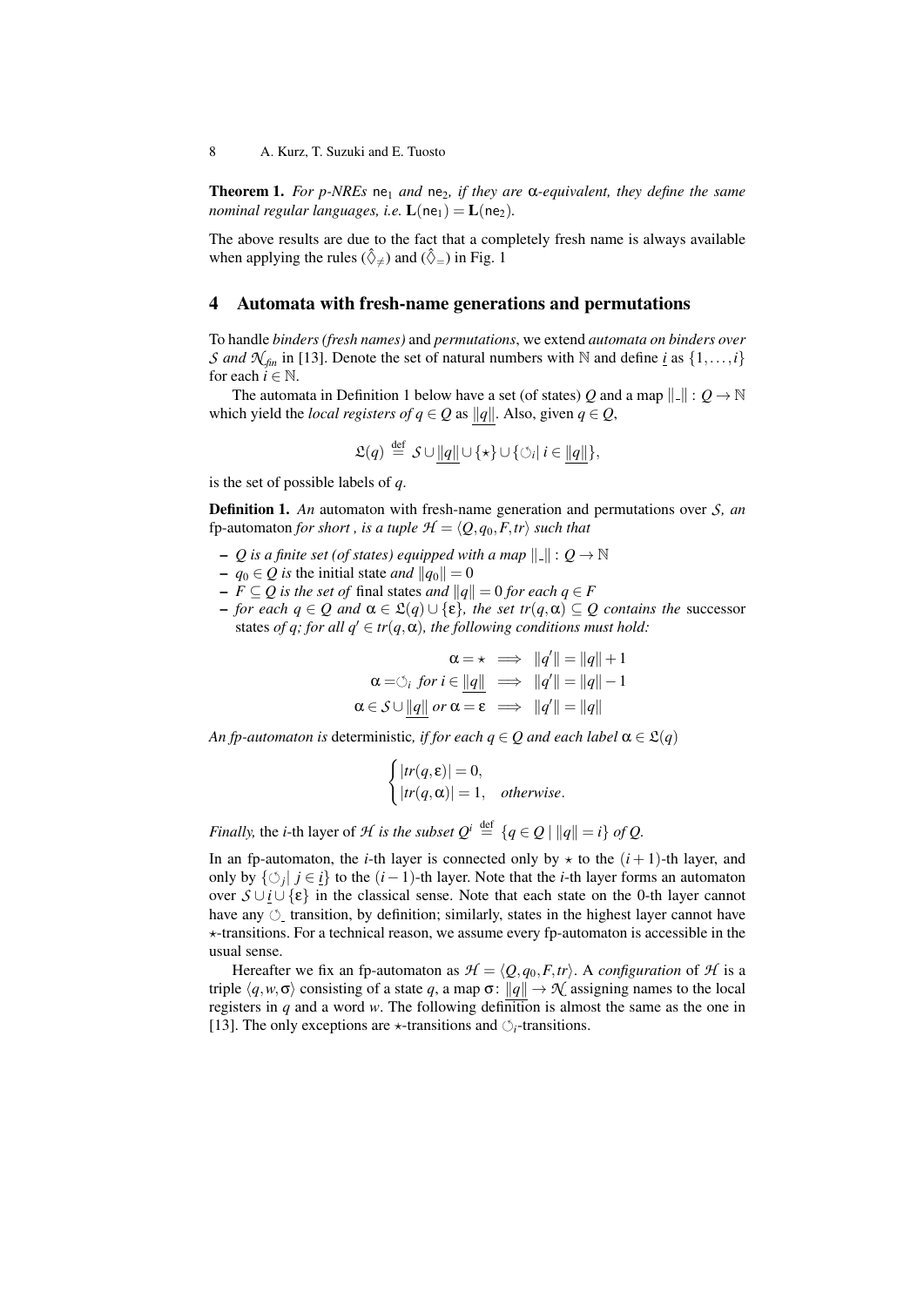**Theorem 1.** *For p-NREs* ne<sub>1</sub> *and* ne<sub>2</sub>, *if they are*  $\alpha$ -*equivalent, they define the same nominal regular languages, i.e.*  $L(ne_1) = L(ne_2)$ *.* 

The above results are due to the fact that a completely fresh name is always available when applying the rules  $(\hat{\Diamond}_{\neq})$  and  $(\hat{\Diamond}_{=})$  in Fig. 1

# 4 Automata with fresh-name generations and permutations

To handle *binders (fresh names)* and *permutations*, we extend *automata on binders over S* and  $\mathcal{N}_{fin}$  in [13]. Denote the set of natural numbers with N and define *i* as  $\{1,\ldots,i\}$ for each  $i \in \mathbb{N}$ .

The automata in Definition 1 below have a set (of states) *Q* and a map  $\|\cdot\|$  :  $Q \to \mathbb{N}$ which yield the *local registers of*  $q \in Q$  as  $||q||$ . Also, given  $q \in Q$ ,

$$
\mathfrak{L}(q) \stackrel{\text{def}}{=} \mathcal{S} \cup \underline{\|q\|} \cup \{\star\} \cup \{\circ_i | i \in \underline{\|q\|}\},
$$

is the set of possible labels of *q*.

Definition 1. *An* automaton with fresh-name generation and permutations over *S, an* fp-automaton *for short*, *is a tuple*  $H = \langle Q, q_0, F, tr \rangle$  *such that* 

- $-$  *Q* is a finite set (of states) equipped with a map  $\|\cdot\|$  :  $Q \to \mathbb{N}$
- $q_0 \in Q$  *is* the initial state *and*  $||q_0|| = 0$
- *−*  $F ⊆ Q$  *is the set of* final states *and*  $||q|| = 0$  *for each*  $q ∈ F$
- $\rho$   *for each*  $q \in Q$  *and*  $\alpha \in \mathcal{L}(q) \cup \{\varepsilon\}$ *, the set tr*(*q,α*) ⊂ *Q contains the successor* states *of q;* for all  $q' \in tr(q, \alpha)$ , the following conditions must hold:

$$
\alpha = \star \implies ||q'|| = ||q|| + 1
$$
  
\n
$$
\alpha = \circ_i \text{ for } i \in ||q|| \implies ||q'|| = ||q|| - 1
$$
  
\n
$$
\alpha \in S \cup ||q|| \text{ or } \alpha = \varepsilon \implies ||q'|| = ||q||
$$

*An fp-automaton is* deterministic, *if for each q*  $\in$  *Q and each label*  $\alpha \in \mathcal{L}(q)$ 

$$
\begin{cases} |tr(q, \varepsilon)| = 0, \\ |tr(q, \alpha)| = 1, \quad otherwise. \end{cases}
$$

*Finally,* the *i*-th layer of *H is the subset*  $Q^i \stackrel{\text{def}}{=} \{q \in Q \mid ||q|| = i\}$  *of*  $Q$ .

In an fp-automaton, the *i*-th layer is connected only by  $\star$  to the  $(i + 1)$ -th layer, and only by  $\{\circlearrowleft_j | j \in i\}$  to the  $(i-1)$ -th layer. Note that the *i*-th layer forms an automaton over  $\mathcal{S} \cup \mathcal{U} \{\varepsilon\}$  in the classical sense. Note that each state on the 0-th layer cannot have any  $\circ$  transition, by definition; similarly, states in the highest layer cannot have  $\star$ -transitions. For a technical reason, we assume every fp-automaton is accessible in the usual sense.

Hereafter we fix an fp-automaton as  $H = \langle Q, q_0, F, tr \rangle$ . A *configuration* of *H* is a triple  $\langle q, w, \sigma \rangle$  consisting of a state *q*, a map  $\sigma: ||q|| \to \mathcal{N}$  assigning names to the local registers in *q* and a word *w*. The following definition is almost the same as the one in [13]. The only exceptions are  $\star$ -transitions and  $\circlearrowleft_i$ -transitions.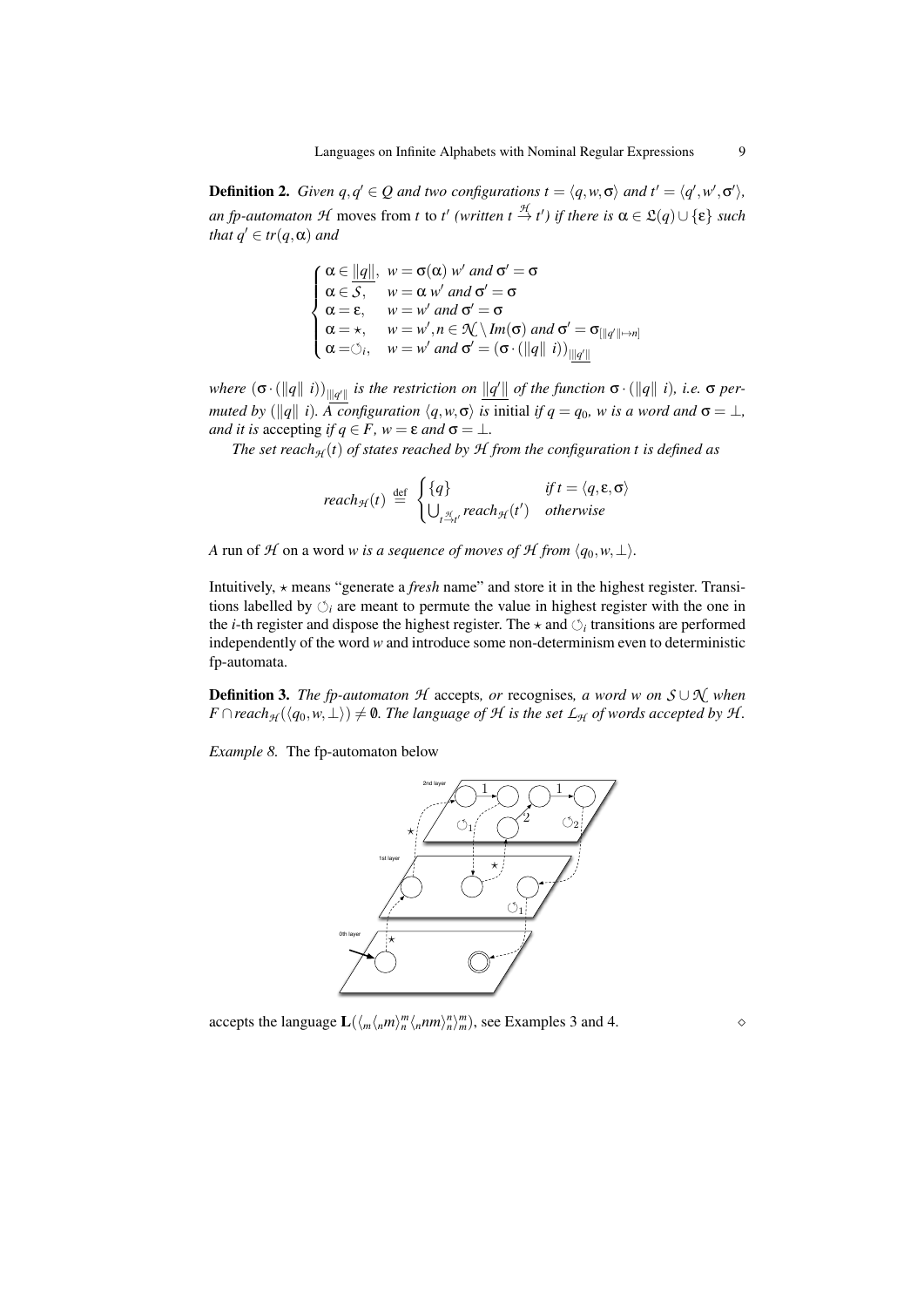**Definition 2.** *Given*  $q, q' \in Q$  *and two configurations*  $t = \langle q, w, \sigma \rangle$  *and*  $t' = \langle q', w', \sigma' \rangle$ ,  $an fp$ -*automaton*  $H$  moves from  $t$  to  $t'$  (written  $t \stackrel{\mathcal{H}}{\rightarrow} t'$ ) if there is  $\alpha \in \mathfrak{L}(q) \cup \{\epsilon\}$  such *that*  $q' \in tr(q, \alpha)$  *and* 

$$
\begin{cases}\n\alpha \in ||q||, & w = \sigma(\alpha) \ w' \text{ and } \sigma' = \sigma \\
\alpha \in S, & w = \alpha \ w' \text{ and } \sigma' = \sigma \\
\alpha = \varepsilon, & w = w' \text{ and } \sigma' = \sigma \\
\alpha = \varkappa, & w = w', n \in \mathcal{N} \setminus Im(\sigma) \text{ and } \sigma' = \sigma_{[||q'|| \to n]} \\
\alpha = \circlearrowleft_i, & w = w' \text{ and } \sigma' = (\sigma \cdot (||q|| i))_{\|q'\|}\n\end{cases}
$$

*where*  $(\sigma \cdot (\|q\| \ i))_{\|\underline{q'}\|}$  is the restriction on  $\|\underline{q'}\|$  of the function  $\sigma \cdot (\|q\| \ i)$ , i.e.  $\sigma$  per*muted by* ( $||q||$  *i*). A configuration  $\langle q, w, \sigma \rangle$  *is* initial *if*  $q = q_0$ *, w is a word and*  $\sigma = \bot$ *, and it is* accepting *if*  $q \in F$ *,*  $w = \varepsilon$  *and*  $\sigma = \bot$ *.* 

*The set reach* $H$  (*t*) *of states reached by*  $H$  *from the configuration t is defined as* 

$$
reach_{\mathcal{H}}(t) \stackrel{\text{def}}{=} \begin{cases} \{q\} & \text{if } t = \langle q, \varepsilon, \sigma \rangle \\ \bigcup_{t \stackrel{\mathcal{H}}{ \to t'}} reach_{\mathcal{H}}(t') & otherwise \end{cases}
$$

*A* run of *H* on a word *w is a sequence of moves of H from*  $\langle q_0, w, \perp \rangle$ *.* 

Intuitively, ? means "generate a *fresh* name" and store it in the highest register. Transitions labelled by  $\circlearrowleft_i$  are meant to permute the value in highest register with the one in the *i*-th register and dispose the highest register. The  $\star$  and  $\circlearrowleft_i$  transitions are performed independently of the word *w* and introduce some non-determinism even to deterministic fp-automata.

Definition 3. *The fp-automaton H* accepts*, or* recognises*, a word w on S* ∪ *N when F* ∩ *reach*<sub>H</sub> ( $\langle q_0, w, \perp \rangle$ )  $\neq$  **0**. The language of  $H$  is the set  $\mathcal{L}_H$  of words accepted by  $H$ .

*Example 8.* The fp-automaton below



accepts the language  $\mathbf{L}(\langle m \langle n m \rangle_n^m \langle n n m \rangle_n^n)^m$ , see Examples 3 and 4.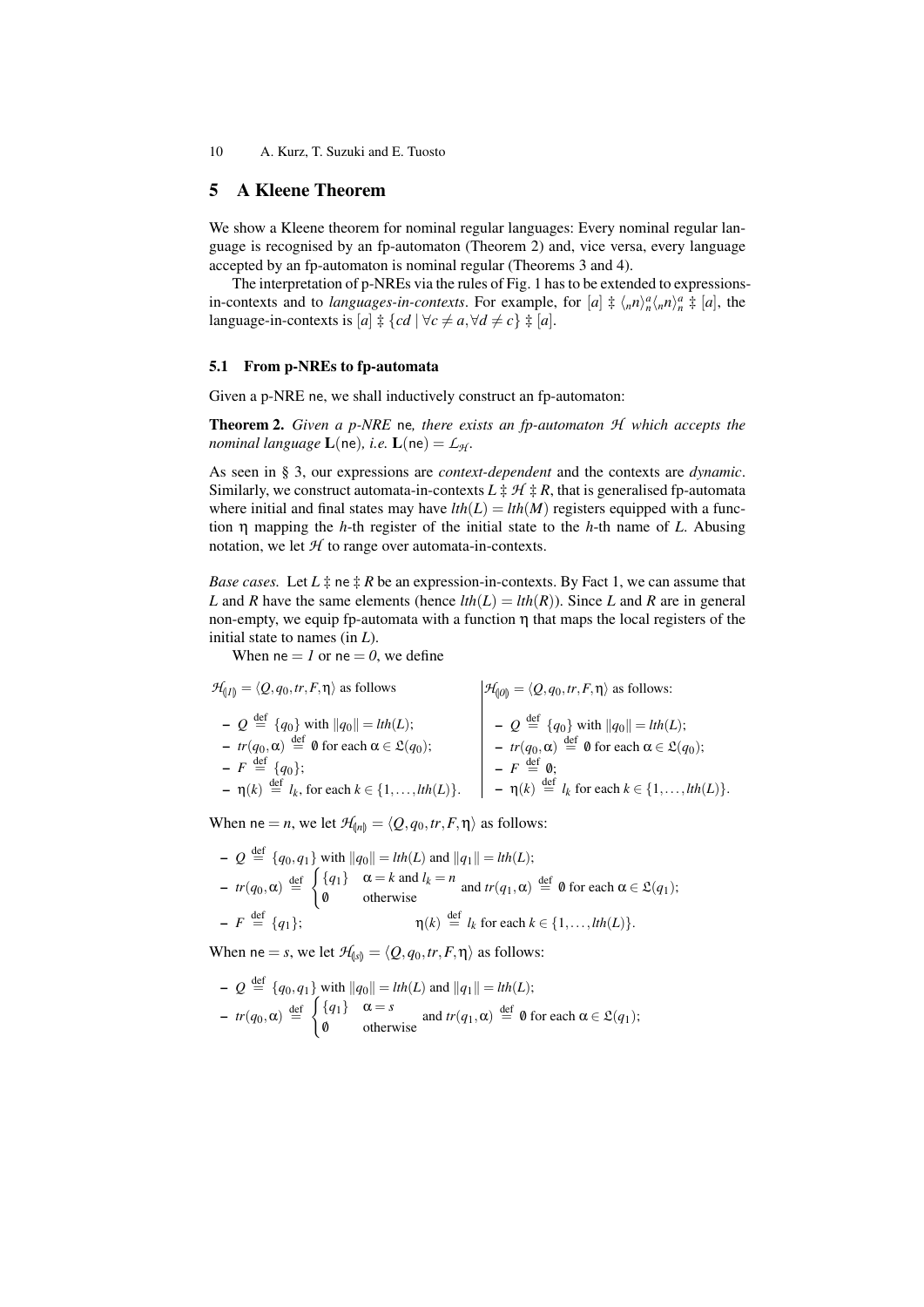## 5 A Kleene Theorem

We show a Kleene theorem for nominal regular languages: Every nominal regular language is recognised by an fp-automaton (Theorem 2) and, vice versa, every language accepted by an fp-automaton is nominal regular (Theorems 3 and 4).

The interpretation of p-NREs via the rules of Fig. 1 has to be extended to expressionsin-contexts and to *languages-in-contexts*. For example, for  $[a] \neq \langle_n n \rangle_n^a \langle_n n \rangle_n^a \neq [a]$ , the language-in-contexts is  $[a]$   $\ddagger$   $\{cd \mid \forall c \neq a, \forall d \neq c\}$   $\ddagger$   $[a]$ .

## 5.1 From p-NREs to fp-automata

Given a p-NRE ne, we shall inductively construct an fp-automaton:

Theorem 2. *Given a p-NRE* ne*, there exists an fp-automaton H which accepts the nominal language*  $L(ne)$ *, i.e.*  $L(ne) = L<sub>H</sub>$ *.* 

As seen in § 3, our expressions are *context-dependent* and the contexts are *dynamic*. Similarly, we construct automata-in-contexts  $L \ddagger H \ddagger R$ , that is generalised fp-automata where initial and final states may have  $lth(L) = lth(M)$  registers equipped with a function η mapping the *h*-th register of the initial state to the *h*-th name of *L*. Abusing notation, we let  $H$  to range over automata-in-contexts.

*Base cases.* Let  $L \ddagger$  ne  $\ddagger$  *R* be an expression-in-contexts. By Fact 1, we can assume that *L* and *R* have the same elements (hence  $lth(L) = lth(R)$ ). Since *L* and *R* are in general non-empty, we equip fp-automata with a function  $η$  that maps the local registers of the initial state to names (in *L*).

When  $ne = 1$  or  $ne = 0$ , we define

$$
\mathcal{H}_{\{1\}} = \langle Q, q_0, tr, F, \eta \rangle \text{ as follows:}
$$
\n
$$
- Q \stackrel{\text{def}}{=} \{q_0\} \text{ with } ||q_0|| = lth(L);
$$
\n
$$
- tr(q_0, \alpha) \stackrel{\text{def}}{=} 0 \text{ for each } \alpha \in \mathfrak{L}(q_0);
$$
\n
$$
- F \stackrel{\text{def}}{=} \{q_0\};
$$
\n
$$
- \eta(k) \stackrel{\text{def}}{=} l_k, \text{ for each } k \in \{1, ..., lth(L)\}.
$$
\n
$$
\left|\begin{array}{c} \mathcal{H}_{\{0\}} = \langle Q, q_0, tr, F, \eta \rangle \text{ as follows:} \\ - Q \stackrel{\text{def}}{=} \{q_0\} \text{ with } ||q_0|| = lth(L); \\ - tr(q_0, \alpha) \stackrel{\text{def}}{=} 0 \text{ for each } \alpha \in \mathfrak{L}(q_0); \\ - F \stackrel{\text{def}}{=} 0; \\ - \eta(k) \stackrel{\text{def}}{=} l_k \text{ for each } k \in \{1, ..., lth(L)\}.
$$

When ne = *n*, we let  $\mathcal{H}_{ln} = \langle Q, q_0, tr, F, \eta \rangle$  as follows:

$$
Q \stackrel{\text{def}}{=} \{q_0, q_1\} \text{ with } \|q_0\| = \text{lth}(L) \text{ and } \|q_1\| = \text{lth}(L);
$$
\n
$$
= tr(q_0, \alpha) \stackrel{\text{def}}{=} \begin{cases} \{q_1\} & \alpha = k \text{ and } l_k = n \\ \emptyset & \text{otherwise} \end{cases} \text{ and } tr(q_1, \alpha) \stackrel{\text{def}}{=} \emptyset \text{ for each } \alpha \in \mathfrak{L}(q_1);
$$
\n
$$
= F \stackrel{\text{def}}{=} \{q_1\}; \qquad \qquad \eta(k) \stackrel{\text{def}}{=} l_k \text{ for each } k \in \{1, \dots, \text{lth}(L)\}.
$$

When ne = *s*, we let  $H_{s} = \langle Q, q_0, tr, F, \eta \rangle$  as follows:

$$
Q \stackrel{\text{def}}{=} \{q_0, q_1\} \text{ with } \|q_0\| = \text{Ith}(L) \text{ and } \|q_1\| = \text{Ith}(L);
$$
  
\n
$$
= \text{tr}(q_0, \alpha) \stackrel{\text{def}}{=} \begin{cases} \{q_1\} & \alpha = s \\ \emptyset & \text{otherwise} \end{cases} \text{ and } \text{tr}(q_1, \alpha) \stackrel{\text{def}}{=} \emptyset \text{ for each } \alpha \in \mathfrak{L}(q_1);
$$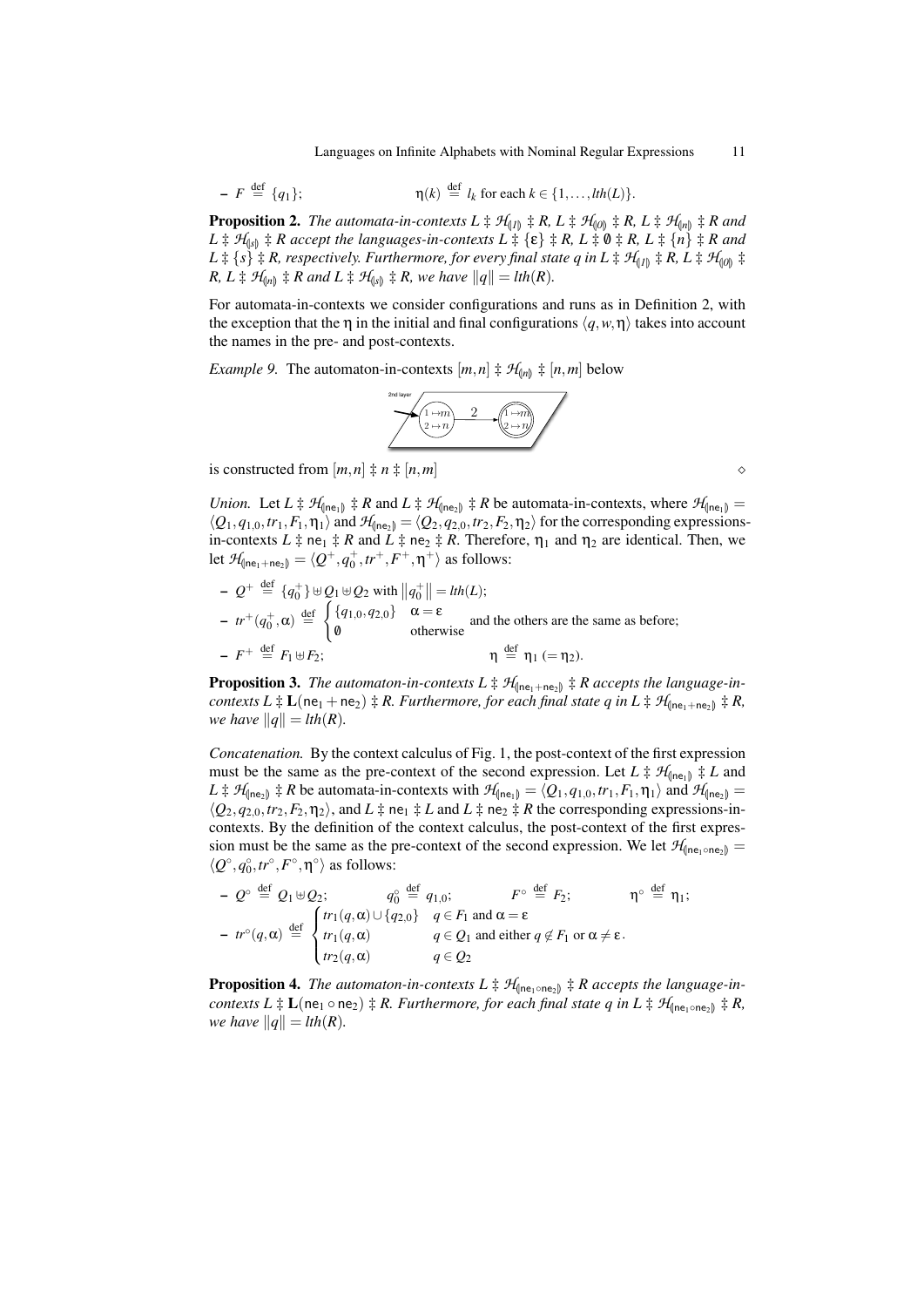Languages on Infinite Alphabets with Nominal Regular Expressions 11

$$
- F \stackrel{\text{def}}{=} \{q_1\}; \qquad \eta(k) \stackrel{\text{def}}{=} l_k \text{ for each } k \in \{1, \ldots, \text{lth}(L)\}.
$$

**Proposition 2.** *The automata-in-contexts*  $L \ddagger \mathcal{H}_{(1)} \ddagger R$ ,  $L \ddagger \mathcal{H}_{(0)} \ddagger R$ ,  $L \ddagger \mathcal{H}_{(n)} \ddagger R$  and  $L \ddagger H_{\text{(s)}} \ddagger R$  *accept the languages-in-contexts*  $L \ddagger {\epsilon} \ddagger \epsilon + R$ ,  $L \ddagger 0 \ddagger R$ ,  $L \ddagger {n} \ddagger R$  *and*  $L \ddagger \{s\} \ddagger R$ , respectively. Furthermore, for every final state q in  $L \ddagger H_{(1)} \ddagger R$ ,  $L \ddagger H_{(0)} \ddagger R$ *R, L*  $\sharp$  *H*<sub>(*n*)</sub></sub>  $\sharp$  *R* and *L*  $\sharp$  *H*<sub>(*s*)</sub></sub>  $\sharp$  *R, we have*  $||q|| = lth(R)$ *.* 

For automata-in-contexts we consider configurations and runs as in Definition 2, with the exception that the  $\eta$  in the initial and final configurations  $\langle q, w, \eta \rangle$  takes into account the names in the pre- and post-contexts.

*Example 9.* The automaton-in-contexts  $[m,n] \ddagger \mathcal{H}_{[n]} \ddagger [n,m]$  below



is constructed from  $[m,n] \neq n \neq [n,m]$ 

*Union.* Let  $L \ddagger \mathcal{H}_{\text{(ne)}} \ddagger R$  and  $L \ddagger \mathcal{H}_{\text{(ne)}} \ddagger R$  be automata-in-contexts, where  $\mathcal{H}_{\text{(ne)}}$  $\langle Q_1, q_{1,0}, tr_1, F_1, \eta_1 \rangle$  and  $\mathcal{H}_{\langle \text{Ine}_2 \rangle} = \langle Q_2, q_{2,0}, tr_2, F_2, \eta_2 \rangle$  for the corresponding expressionsin-contexts  $L \ddagger$  ne<sub>1</sub>  $\ddagger$  *R* and  $L \ddagger$  ne<sub>2</sub>  $\ddagger$  *R*. Therefore,  $\eta_1$  and  $\eta_2$  are identical. Then, we let  $\mathcal{H}_{\text{(ne}_1+\text{ne}_2)} = \langle Q^+, q^+_0, tr^+, F^+, \eta^+ \rangle$  as follows:

$$
Q^+ \stackrel{\text{def}}{=} \{q_0^+\} \uplus Q_1 \uplus Q_2 \text{ with } \|q_0^+\| = \text{Ith}(L);
$$
\n
$$
- \text{tr}^+(q_0^+, \alpha) \stackrel{\text{def}}{=} \begin{cases} \{q_1, q_2, 0\} & \alpha = \varepsilon \\ \emptyset & \text{otherwise} \end{cases} \text{ and the others are the same as before;}
$$
\n
$$
- \text{tr}^+ \stackrel{\text{def}}{=} F_1 \uplus F_2; \qquad \eta \stackrel{\text{def}}{=} \eta_1 \ (= \eta_2).
$$

**Proposition 3.** The automaton-in-contexts  $L \ddagger \mathcal{H}_{\text{(ne}_1 + \text{ne}_2)} \ddagger R$  accepts the language-in*contexts*  $L \ddagger L(ne_1 + ne_2) \ddagger R$ . Furthermore, for each final state q in  $L \ddagger H_{(ne_1 + ne_2)} \ddagger R$ , *we have*  $||q|| = lth(R)$ *.* 

*Concatenation.* By the context calculus of Fig. 1, the post-context of the first expression must be the same as the pre-context of the second expression. Let  $L \ddagger \mathcal{H}_{\text{then}} \ddagger L$  and  $L \ddagger \mathcal{H}_{(\text{ne}_1)} \ddagger R$  be automata-in-contexts with  $\mathcal{H}_{(\text{ne}_1)} = \langle Q_1, q_{1,0}, tr_1, F_1, \eta_1 \rangle$  and  $\mathcal{H}_{(\text{ne}_2)} = \langle Q_1, q_{1,0}, tr_1, F_1, \eta_1 \rangle$  $\langle Q_2, q_{2,0}, tr_2, F_2, \eta_2 \rangle$ , and  $L \ddagger$  ne<sub>1</sub>  $\ddagger L$  and  $L \ddagger$  ne<sub>2</sub>  $\ddagger R$  the corresponding expressions-incontexts. By the definition of the context calculus, the post-context of the first expression must be the same as the pre-context of the second expression. We let  $\mathcal{H}_{\text{(ne-one-)}}$  $\langle Q^{\circ}, q_0^{\circ}, tr^{\circ}, F^{\circ}, \eta^{\circ} \rangle$  as follows:

$$
- Q^{\circ} \stackrel{\text{def}}{=} Q_1 \uplus Q_2; \qquad q_0^{\circ} \stackrel{\text{def}}{=} q_{1,0}; \qquad F^{\circ} \stackrel{\text{def}}{=} F_2; \qquad \eta^{\circ} \stackrel{\text{def}}{=} \eta_1;
$$
  

$$
- tr^{\circ}(q, \alpha) \stackrel{\text{def}}{=} \begin{cases} tr_1(q, \alpha) \cup \{q_{2,0}\} & q \in F_1 \text{ and } \alpha = \varepsilon \\ tr_1(q, \alpha) & q \in Q_1 \text{ and either } q \notin F_1 \text{ or } \alpha \neq \varepsilon. \\ tr_2(q, \alpha) & q \in Q_2 \end{cases}
$$

**Proposition 4.** *The automaton-in-contexts*  $L \ddagger \mathcal{H}_{\text{(ne<sub>1</sub> ∘ne<sub>2</sub>)}} \ddagger R$  accepts the language-in*contexts*  $L \ddagger L$ (ne<sub>1</sub> ∘ ne<sub>2</sub>)  $\ddagger R$ *. Furthermore, for each final state q in*  $L \ddagger H$ <sub>(ne<sub>1</sub> ⋅ ne<sub>2</sub>)  $\ddagger R$ *,*</sub> *we have*  $||q|| = lth(R)$ *.*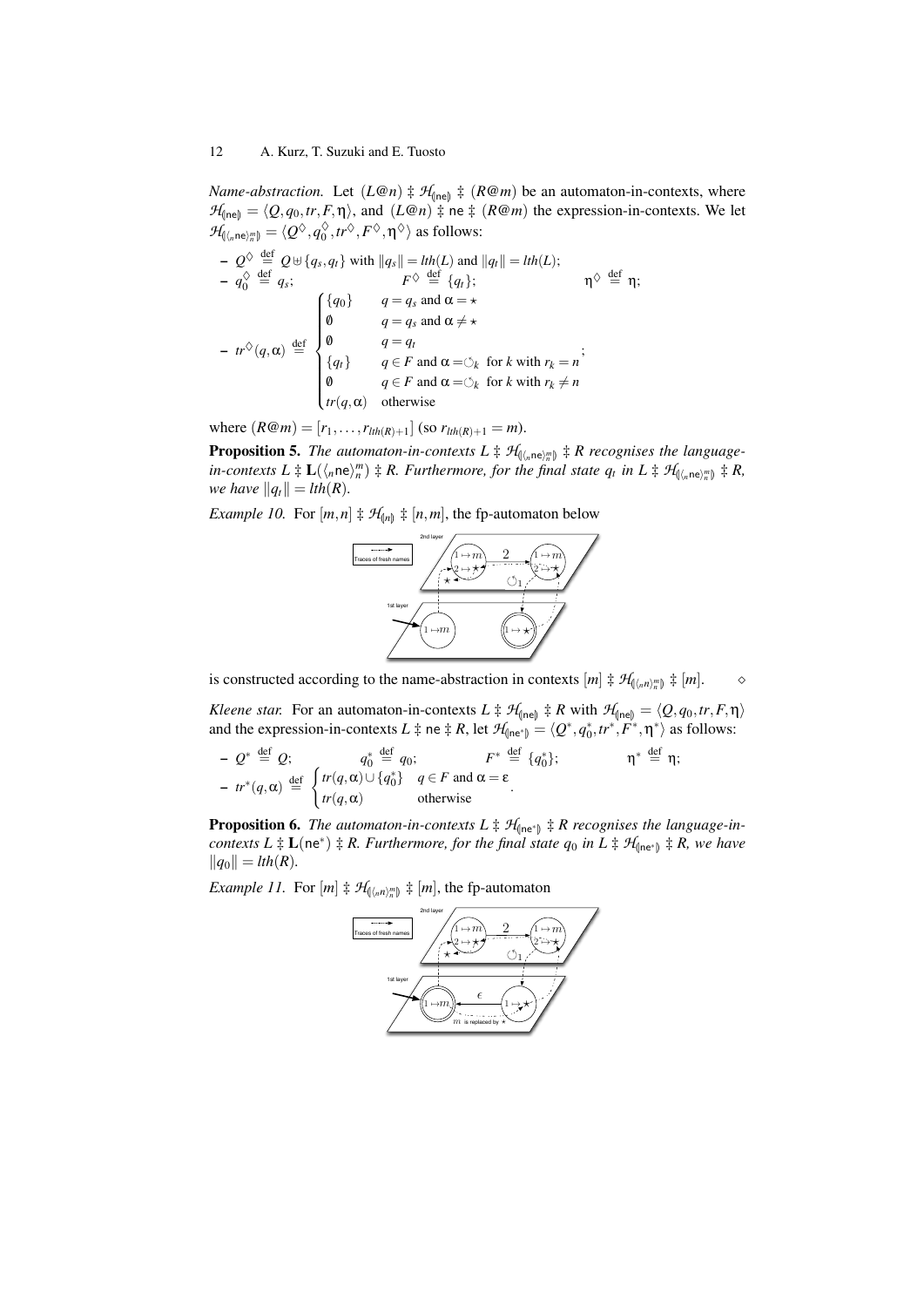*Name-abstraction.* Let  $(L@n) \nightharpoonup H_{\text{(ne)}} \nightharpoonup (R@m)$  be an automaton-in-contexts, where  $\mathcal{H}_{(\text{ne})} = \langle Q, q_0, tr, F, \eta \rangle$ , and  $(L@n) \ddagger$  ne  $\ddagger$   $(R@m)$  the expression-in-contexts. We let  $\mathcal{H}_{\llbracket \langle n \mathbf{ne} \rangle_n^m \rrbracket} = \langle \mathcal{Q}^{\lozenge}, q_0^{\lozenge} \rangle$  $_0^\diamondsuit$ ,  $tr^\diamondsuit$ ,  $F^\diamondsuit$ ,  $\eta^\diamondsuit\rangle$  as follows:

$$
Q^{\Diamond} \stackrel{\text{def}}{=} Q \uplus \{q_s, q_t\} \text{ with } \|q_s\| = \text{I}th(L) \text{ and } \|q_t\| = \text{I}th(L);
$$
\n
$$
- q_0^{\Diamond} \stackrel{\text{def}}{=} q_s; \qquad F^{\Diamond} \stackrel{\text{def}}{=} \{q_t\}; \qquad \eta^{\Diamond} \stackrel{\text{def}}{=} \eta;
$$
\n
$$
- tr^{\Diamond} (q, \alpha) \stackrel{\text{def}}{=} \begin{cases} \{q_0\} & q = q_s \text{ and } \alpha = \star \\ 0 & q = q_s \text{ and } \alpha \neq \star \\ q = q_t \\ \{q_t\} & q \in F \text{ and } \alpha = \circlearrowleft_k \text{ for } k \text{ with } r_k = n \\ q \in F \text{ and } \alpha = \circlearrowleft_k \text{ for } k \text{ with } r_k \neq n \end{cases}
$$

where  $(R@m) = [r_1, \ldots, r_{lth(R)+1}]$  (so  $r_{lth(R)+1} = m$ ).

**Proposition 5.** *The automaton-in-contexts*  $L \ddagger \mathcal{H}_{(\langle n)e \rangle_m^m} \ddagger R$  *recognises the language-*<br>in expressive  $L \ddagger L (\langle ne \rangle_m^m) \ddagger R$  *Eurthermana for the final state a in L*  $\ddagger d$  $\lim_{m \to \infty} \lim_{m \to \infty} L^{\infty}(\ln \mathbf{e})^m = \lim_{m \to \infty} R$ . Furthermore, for the final state  $q_t$  in  $L \neq \mathcal{H}_{(\ln \mathbf{e})^m} \neq R$ , *we have*  $||q_t|| = lth(R)$ *.* 

*Example 10.* For  $[m, n] \neq \mathcal{H}_{[n]} \neq [n, m]$ , the fp-automaton below



is constructed according to the name-abstraction in contexts  $[m] \ddagger \mathcal{H}_{(\langle_n n \rangle_n^m)} \ddagger [m]$ .

*Kleene star.* For an automaton-in-contexts  $L \ddagger H_{\text{(ne)}} \ddagger R$  with  $H_{\text{(ne)}} = \langle Q, q_0, tr, F, \eta \rangle$ and the expression-in-contexts  $L \ddagger$  ne  $\ddagger$  *R*, let  $\mathcal{H}_{(\text{ne}^*)} = \langle Q^*, q_0^*, tr^*, F^*, \eta^* \rangle$  as follows:

$$
- Q^* \stackrel{\text{def}}{=} Q; \quad q_0^* \stackrel{\text{def}}{=} q_0; \quad F^* \stackrel{\text{def}}{=} \{q_0^*\}; \quad \eta^* \stackrel{\text{def}}{=} \eta;
$$
  

$$
- tr^*(q, \alpha) \stackrel{\text{def}}{=} \begin{cases} tr(q, \alpha) \cup \{q_0^*\} & q \in F \text{ and } \alpha = \varepsilon \\ tr(q, \alpha) & \text{otherwise} \end{cases}
$$

**Proposition 6.** The automaton-in-contexts  $L \ddagger \mathcal{H}_{\text{fne}^*}$   $\ddagger$  *R* recognises the language-in*contexts*  $L \ddagger L(ne^*) \ddagger R$ . Furthermore, for the final state  $q_0$  in  $L \ddagger H_{(ne^*)} \ddagger R$ , we have  $||q_0|| = lth(R)$ .

*Example 11.* For  $[m] \ddagger \mathcal{H}_{(\langle_n n \rangle_n^m)} \ddagger [m]$ , the fp-automaton

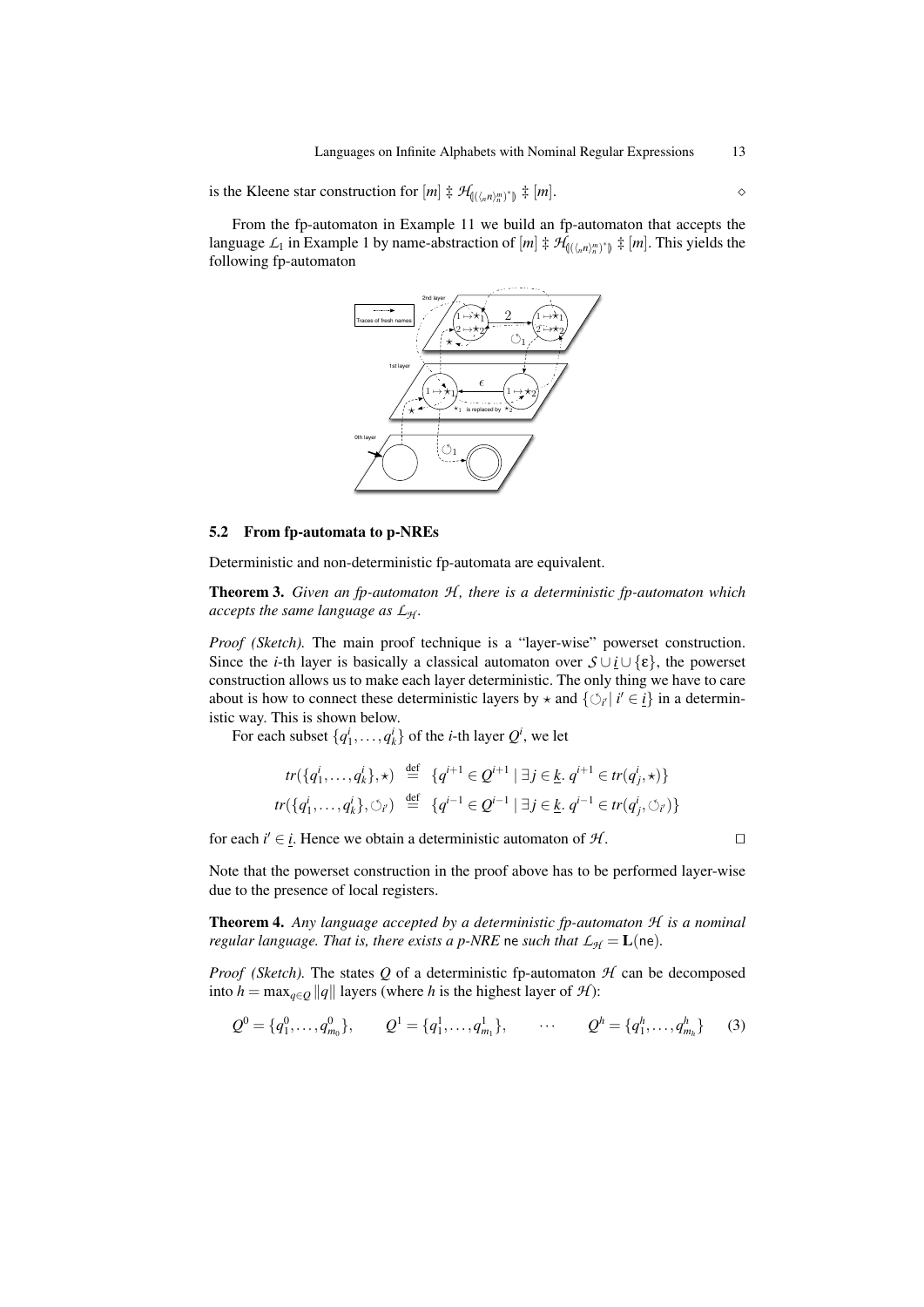is the Kleene star construction for  $[m] \ddagger \mathcal{H}_{(\langle\langle n,n\rangle_n^m)^*]} \ddagger [m]$ .

From the fp-automaton in Example 11 we build an fp-automaton that accepts the language  $L_1$  in Example 1 by name-abstraction of  $[m] \nightharpoonup H_{(\langle\langle n\rangle_n^m)^*]} \nightharpoonup [m]$ . This yields the following fp-automaton



#### 5.2 From fp-automata to p-NREs

Deterministic and non-deterministic fp-automata are equivalent.

Theorem 3. *Given an fp-automaton H , there is a deterministic fp-automaton which accepts the same language as L<sup>H</sup> .*

*Proof (Sketch).* The main proof technique is a "layer-wise" powerset construction. Since the *i*-th layer is basically a classical automaton over  $\mathcal{S} \cup i \cup \{\epsilon\}$ , the powerset construction allows us to make each layer deterministic. The only thing we have to care about is how to connect these deterministic layers by  $\star$  and  $\{\circ_i | i' \in i\}$  in a deterministic way. This is shown below.

For each subset  $\{q_1^i, \ldots, q_k^i\}$  of the *i*-th layer  $Q^i$ , we let

$$
tr(\{q_1^i, \dots, q_k^i\}, \star) \stackrel{\text{def}}{=} \{q^{i+1} \in \mathcal{Q}^{i+1} \mid \exists j \in \underline{k}, q^{i+1} \in tr(q_j^i, \star)\}
$$
  

$$
tr(\{q_1^i, \dots, q_k^i\}, \circlearrowright_{i'}) \stackrel{\text{def}}{=} \{q^{i-1} \in \mathcal{Q}^{i-1} \mid \exists j \in \underline{k}, q^{i-1} \in tr(q_j^i, \circlearrowleft_{i'})\}
$$

for each  $i' \in i$ . Hence we obtain a deterministic automaton of  $\mathcal{H}$ .

Note that the powerset construction in the proof above has to be performed layer-wise due to the presence of local registers.

Theorem 4. *Any language accepted by a deterministic fp-automaton H is a nominal regular language. That is, there exists a p-NRE* ne *such that*  $L_H = L$ (ne).

*Proof* (Sketch). The states Q of a deterministic fp-automaton  $H$  can be decomposed into *h* = max<sub>*q*∈*Q* ||*q*|| layers (where *h* is the highest layer of *H*):</sub>

$$
Q^{0} = \{q_1^{0}, \ldots, q_{m_0}^{0}\}, \qquad Q^{1} = \{q_1^{1}, \ldots, q_{m_1}^{1}\}, \qquad \cdots \qquad Q^{h} = \{q_1^{h}, \ldots, q_{m_h}^{h}\} \qquad (3)
$$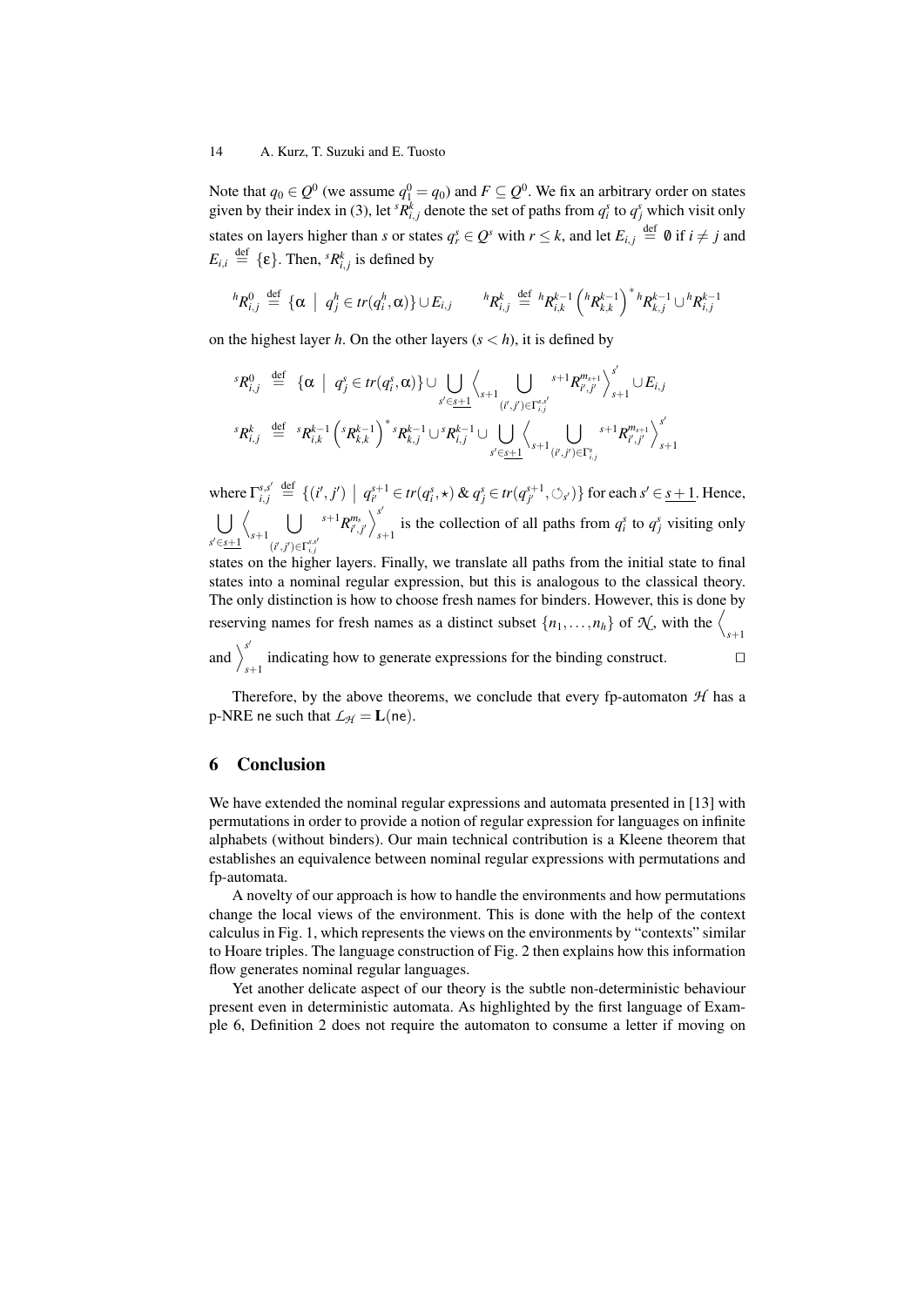Note that  $q_0 \in Q^0$  (we assume  $q_1^0 = q_0$ ) and  $F \subseteq Q^0$ . We fix an arbitrary order on states given by their index in (3), let  ${}^s R^k_{i,j}$  denote the set of paths from  $q^s_i$  to  $q^s_j$  which visit only states on layers higher than *s* or states  $q_r^s \in Q^s$  with  $r \leq k$ , and let  $E_{i,j} \stackrel{\text{def}}{=} \emptyset$  if  $i \neq j$  and  $E_{i,i} \stackrel{\text{def}}{=} {\{\epsilon\}}$ . Then,  ${}^{s}R_{i,j}^{k}$  is defined by

$$
{}^{h}R_{i,j}^{0} \stackrel{\text{def}}{=} {\alpha \mid q_j^{h} \in tr(q_i^{h}, \alpha)} \cup E_{i,j} \qquad {}^{h}R_{i,j}^{k} \stackrel{\text{def}}{=} {}^{h}R_{i,k}^{k-1} ({}^{h}R_{k,k}^{k-1})^* {}^{h}R_{k,j}^{k-1} \cup {}^{h}R_{i,j}^{k-1}
$$

on the highest layer *h*. On the other layers  $(s < h)$ , it is defined by

$$
{}^{s}R_{i,j}^{0} \stackrel{\text{def}}{=} {\{\alpha \mid q_{j}^{s} \in tr(q_{i}^{s}, \alpha) \} \cup \bigcup_{s' \in \underline{s+1}} \left\langle \bigcup_{s+1} \bigcup_{(i',j') \in \Gamma_{i,j}^{s,j}} s+1 R_{i',j'}^{m_{s+1}} \right\rangle_{s+1}^{s'} \cup E_{i,j}} \atop {}^{s}R_{i,j}^{k} \stackrel{\text{def}}{=} {}^{s}R_{i,k}^{k-1} {\left( {}^{s}R_{k,k}^{k-1} \right)}^{*} {}^{s}R_{k,j}^{k-1} \cup {}^{s}R_{i,j}^{k-1} \cup \bigcup_{s' \in \underline{s+1}} \left\langle \bigcup_{s+1} \bigcup_{(i',j') \in \Gamma_{i,j}^{s}} s+1 R_{i',j'}^{m_{s+1}} \right\rangle_{s+1}^{s'}
$$

where  $\Gamma_{i,j}^{s,s'} \stackrel{\text{def}}{=} \{ (i',j') \mid q_{i'}^{s+1} \in tr(q_i^s, \star) \& q_j^s \in tr(q_{j'}^{s+1}, \circlearrowleft_{s'}) \}$  for each  $s' \in \underline{s+1}$ . Hence,  $\mathsf{L}$ *s* <sup>0</sup>∈*s*+1  $\sqrt{2}$ *s*+1  $\mathsf{L}$  $(i', j') \in \Gamma_{i,j}^{s,s'}$  ${s+1}R^{m_s}_{i',j'}\Big>_s^{s'}$ is the collection of all paths from  $q_i^s$  to  $q_j^s$  visiting only

states on the higher layers. Finally, we translate all paths from the initial state to final states into a nominal regular expression, but this is analogous to the classical theory. The only distinction is how to choose fresh names for binders. However, this is done by reserving names for fresh names as a distinct subset  $\{n_1, \ldots, n_h\}$  of  $\mathcal{K}$ , with the  $\Big\langle_{s+1}$ 

and  $\sum^{s'}$ indicating how to generate expressions for the binding construct.  $\square$ 

Therefore, by the above theorems, we conclude that every fp-automaton  $H$  has a p-NRE ne such that  $\mathcal{L}_{H} = L$ (ne).

## 6 Conclusion

We have extended the nominal regular expressions and automata presented in [13] with permutations in order to provide a notion of regular expression for languages on infinite alphabets (without binders). Our main technical contribution is a Kleene theorem that establishes an equivalence between nominal regular expressions with permutations and fp-automata.

A novelty of our approach is how to handle the environments and how permutations change the local views of the environment. This is done with the help of the context calculus in Fig. 1, which represents the views on the environments by "contexts" similar to Hoare triples. The language construction of Fig. 2 then explains how this information flow generates nominal regular languages.

Yet another delicate aspect of our theory is the subtle non-deterministic behaviour present even in deterministic automata. As highlighted by the first language of Example 6, Definition 2 does not require the automaton to consume a letter if moving on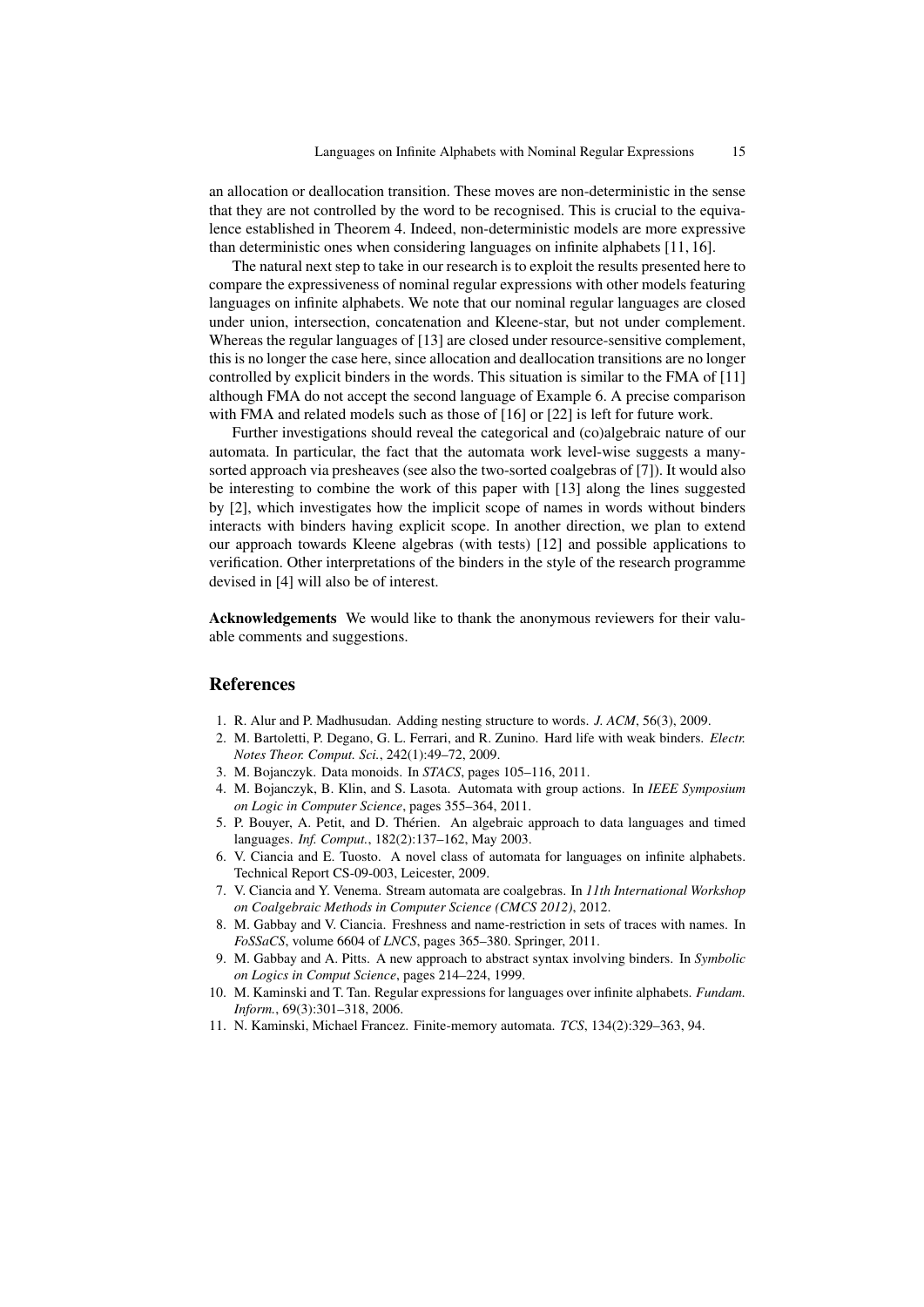an allocation or deallocation transition. These moves are non-deterministic in the sense that they are not controlled by the word to be recognised. This is crucial to the equivalence established in Theorem 4. Indeed, non-deterministic models are more expressive than deterministic ones when considering languages on infinite alphabets [11, 16].

The natural next step to take in our research is to exploit the results presented here to compare the expressiveness of nominal regular expressions with other models featuring languages on infinite alphabets. We note that our nominal regular languages are closed under union, intersection, concatenation and Kleene-star, but not under complement. Whereas the regular languages of [13] are closed under resource-sensitive complement, this is no longer the case here, since allocation and deallocation transitions are no longer controlled by explicit binders in the words. This situation is similar to the FMA of [11] although FMA do not accept the second language of Example 6. A precise comparison with FMA and related models such as those of [16] or [22] is left for future work.

Further investigations should reveal the categorical and (co)algebraic nature of our automata. In particular, the fact that the automata work level-wise suggests a manysorted approach via presheaves (see also the two-sorted coalgebras of [7]). It would also be interesting to combine the work of this paper with [13] along the lines suggested by [2], which investigates how the implicit scope of names in words without binders interacts with binders having explicit scope. In another direction, we plan to extend our approach towards Kleene algebras (with tests) [12] and possible applications to verification. Other interpretations of the binders in the style of the research programme devised in [4] will also be of interest.

Acknowledgements We would like to thank the anonymous reviewers for their valuable comments and suggestions.

### References

- 1. R. Alur and P. Madhusudan. Adding nesting structure to words. *J. ACM*, 56(3), 2009.
- 2. M. Bartoletti, P. Degano, G. L. Ferrari, and R. Zunino. Hard life with weak binders. *Electr. Notes Theor. Comput. Sci.*, 242(1):49–72, 2009.
- 3. M. Bojanczyk. Data monoids. In *STACS*, pages 105–116, 2011.
- 4. M. Bojanczyk, B. Klin, and S. Lasota. Automata with group actions. In *IEEE Symposium on Logic in Computer Science*, pages 355–364, 2011.
- 5. P. Bouyer, A. Petit, and D. Thérien. An algebraic approach to data languages and timed languages. *Inf. Comput.*, 182(2):137–162, May 2003.
- 6. V. Ciancia and E. Tuosto. A novel class of automata for languages on infinite alphabets. Technical Report CS-09-003, Leicester, 2009.
- 7. V. Ciancia and Y. Venema. Stream automata are coalgebras. In *11th International Workshop on Coalgebraic Methods in Computer Science (CMCS 2012)*, 2012.
- 8. M. Gabbay and V. Ciancia. Freshness and name-restriction in sets of traces with names. In *FoSSaCS*, volume 6604 of *LNCS*, pages 365–380. Springer, 2011.
- 9. M. Gabbay and A. Pitts. A new approach to abstract syntax involving binders. In *Symbolic on Logics in Comput Science*, pages 214–224, 1999.
- 10. M. Kaminski and T. Tan. Regular expressions for languages over infinite alphabets. *Fundam. Inform.*, 69(3):301–318, 2006.
- 11. N. Kaminski, Michael Francez. Finite-memory automata. *TCS*, 134(2):329–363, 94.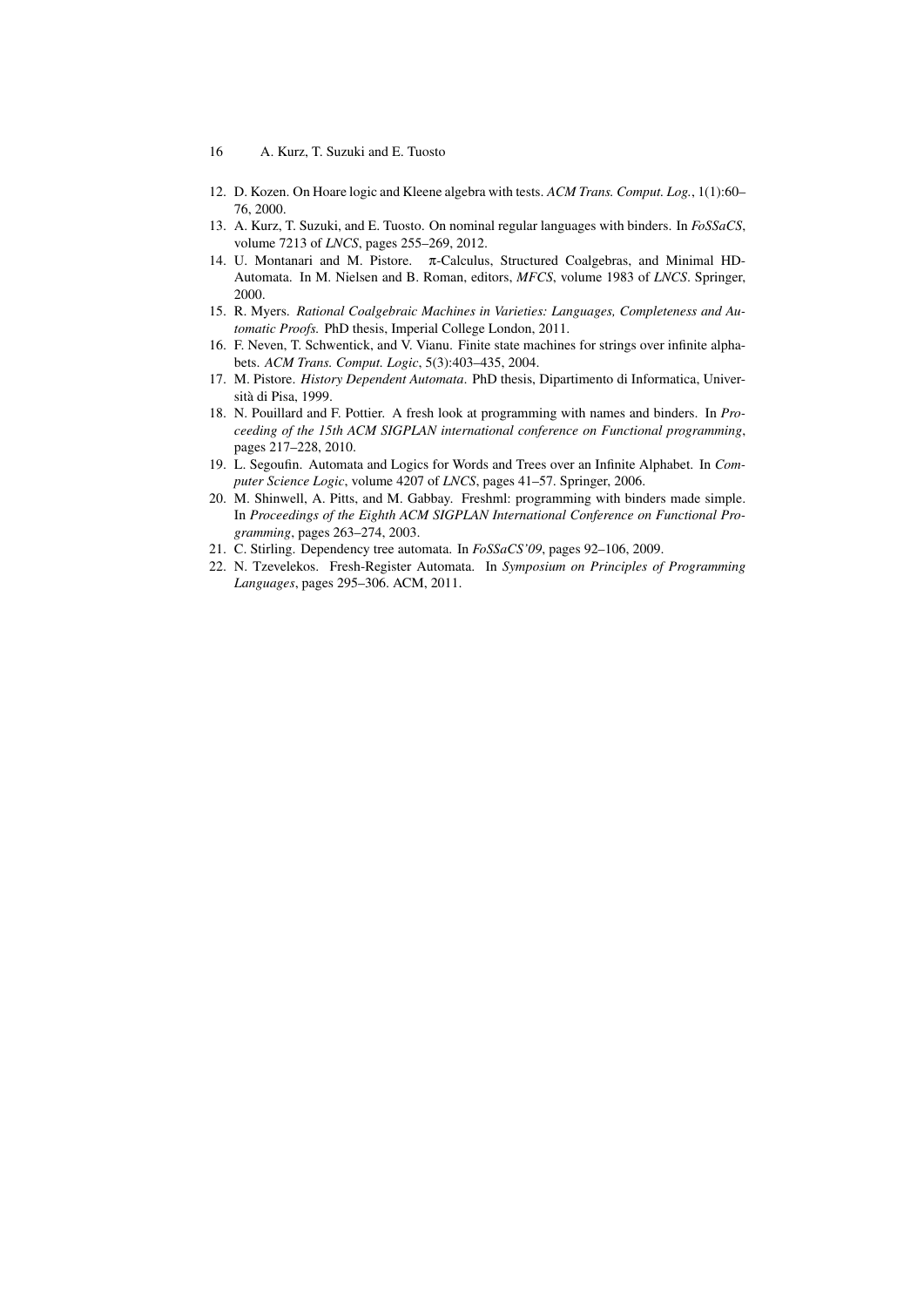- 16 A. Kurz, T. Suzuki and E. Tuosto
- 12. D. Kozen. On Hoare logic and Kleene algebra with tests. *ACM Trans. Comput. Log.*, 1(1):60– 76, 2000.
- 13. A. Kurz, T. Suzuki, and E. Tuosto. On nominal regular languages with binders. In *FoSSaCS*, volume 7213 of *LNCS*, pages 255–269, 2012.
- 14. U. Montanari and M. Pistore. π-Calculus, Structured Coalgebras, and Minimal HD-Automata. In M. Nielsen and B. Roman, editors, *MFCS*, volume 1983 of *LNCS*. Springer, 2000.
- 15. R. Myers. *Rational Coalgebraic Machines in Varieties: Languages, Completeness and Automatic Proofs.* PhD thesis, Imperial College London, 2011.
- 16. F. Neven, T. Schwentick, and V. Vianu. Finite state machines for strings over infinite alphabets. *ACM Trans. Comput. Logic*, 5(3):403–435, 2004.
- 17. M. Pistore. *History Dependent Automata*. PhD thesis, Dipartimento di Informatica, Università di Pisa, 1999.
- 18. N. Pouillard and F. Pottier. A fresh look at programming with names and binders. In *Proceeding of the 15th ACM SIGPLAN international conference on Functional programming*, pages 217–228, 2010.
- 19. L. Segoufin. Automata and Logics for Words and Trees over an Infinite Alphabet. In *Computer Science Logic*, volume 4207 of *LNCS*, pages 41–57. Springer, 2006.
- 20. M. Shinwell, A. Pitts, and M. Gabbay. Freshml: programming with binders made simple. In *Proceedings of the Eighth ACM SIGPLAN International Conference on Functional Programming*, pages 263–274, 2003.
- 21. C. Stirling. Dependency tree automata. In *FoSSaCS'09*, pages 92–106, 2009.
- 22. N. Tzevelekos. Fresh-Register Automata. In *Symposium on Principles of Programming Languages*, pages 295–306. ACM, 2011.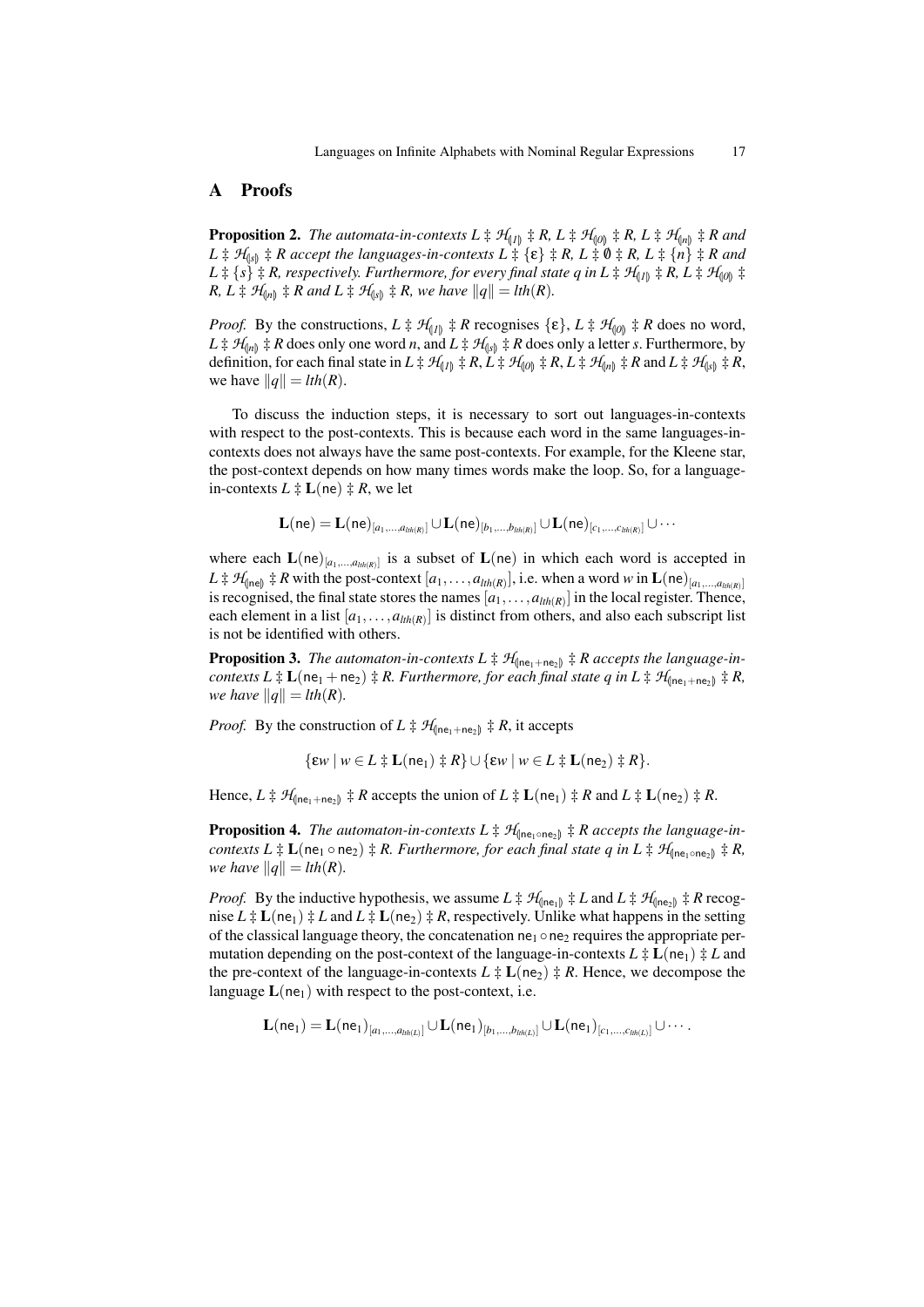# A Proofs

**Proposition 2.** *The automata-in-contexts L*  $\ddagger$   $\mathcal{H}_{(1)}$   $\ddagger$  *R, L*  $\ddagger$   $\mathcal{H}_{(0)}$   $\ddagger$  *R, L*  $\ddagger$   $\mathcal{H}_{(n)}$   $\ddagger$  *R and*  $L \ddagger H_{\parallel s} \ddagger R$  accept the languages-in-contexts  $L \ddagger {\epsilon} \ddagger R$ ,  $L \ddagger 0 \ddagger R$ ,  $L \ddagger {\eta} R$  and  $L \ddagger \{s\} \ddagger R$ , respectively. Furthermore, for every final state q in  $L \ddagger \mathcal{H}_{(I)} \ddagger R$ ,  $L \ddagger \mathcal{H}_{(0)} \ddagger R$ *R, L*  $\sharp$  *H*<sub>(*n*)</sub>  $\sharp$  *R* and *L*  $\sharp$  *H*<sub>(*s*)</sub>  $\sharp$  *R, we have*  $||q|| = lth(R)$ *.* 

*Proof.* By the constructions,  $L \ddagger \mathcal{H}_{[1]} \ddagger R$  recognises  $\{\varepsilon\}, L \ddagger \mathcal{H}_{[0]} \ddagger R$  does no word,  $L \ddagger H_{\text{(in)}} \ddagger R$  does only one word *n*, and  $L \ddagger H_{\text{(s)}} \ddagger R$  does only a letter *s*. Furthermore, by definition, for each final state in  $L \ddagger \mathcal{H}_{(I)} \ddagger R$ ,  $L \ddagger \mathcal{H}_{(I0)} \ddagger R$ ,  $L \ddagger \mathcal{H}_{(In)} \ddagger R$  and  $L \ddagger \mathcal{H}_{(Is)} \ddagger R$ , we have  $||q|| = lth(R)$ .

To discuss the induction steps, it is necessary to sort out languages-in-contexts with respect to the post-contexts. This is because each word in the same languages-incontexts does not always have the same post-contexts. For example, for the Kleene star, the post-context depends on how many times words make the loop. So, for a languagein-contexts  $L \ddagger L$  (ne)  $\ddagger R$ , we let

$$
{\bf L}({\sf ne})={\bf L}({\sf ne})_{[a_1,\dots,a_{\mathit{ln}(R)}]} \cup {\bf L}({\sf ne})_{[b_1,\dots,b_{\mathit{ln}(R)}]} \cup {\bf L}({\sf ne})_{[c_1,\dots,c_{\mathit{ln}(R)}]} \cup \cdots
$$

where each  $\mathbf{L}(\mathsf{ne})_{[a_1,...,a_{th(R)}]}$  is a subset of  $\mathbf{L}(\mathsf{ne})$  in which each word is accepted in  $L \ddagger \mathcal{H}_{\text{(ne)}} \ddagger R$  with the post-context  $[a_1, \ldots, a_{th(R)}],$  i.e. when a word *w* in  $\mathbf{L}(\mathbf{ne})_{[a_1, \ldots, a_{th(R)}]}$ is recognised, the final state stores the names  $[a_1, \ldots, a_{lth(R)}]$  in the local register. Thence, each element in a list  $[a_1, \ldots, a_{th(R)}]$  is distinct from others, and also each subscript list is not be identified with others.

**Proposition 3.** The automaton-in-contexts  $L \ddagger \mathcal{H}_{\text{(ne}_1 + \text{ne}_2)} \ddagger R$  accepts the language-in*contexts*  $L \ddagger L(ne_1 + ne_2) \ddagger R$ . Furthermore, for each final state q in  $L \ddagger H_{n}(ne_1 + ne_2) \ddagger R$ , *we have*  $||q|| = lth(R)$ *.* 

*Proof.* By the construction of  $L \ddagger \mathcal{H}_{\text{fine}, +\text{ne}} \ddagger R$ , it accepts

$$
\{\varepsilon w \mid w \in L \div \mathbf{L}(\mathsf{ne}_1) \div R\} \cup \{\varepsilon w \mid w \in L \div \mathbf{L}(\mathsf{ne}_2) \div R\}.
$$

Hence,  $L \ddagger \mathcal{H}_{\text{(ne_1+ne_2)}} \ddagger R$  accepts the union of  $L \ddagger L(\text{ne}_1) \ddagger R$  and  $L \ddagger L(\text{ne}_2) \ddagger R$ .

**Proposition 4.** *The automaton-in-contexts*  $L \ddagger \mathcal{H}_{\text{(ne<sub>1</sub> ∘ne<sub>2</sub>)}} \ddagger R$  accepts the language-in*contexts*  $L \ddagger L(ne_1 \circ ne_2) \ddagger R$ . Furthermore, for each final state q in  $L \ddagger H(ne_1 \circ ne_2) \ddagger R$ , *we have*  $||q|| = lth(R)$ *.* 

*Proof.* By the inductive hypothesis, we assume  $L \ddagger \mathcal{H}_{\text{(ne_1)}} \ddagger L$  and  $L \ddagger \mathcal{H}_{\text{(ne_2)}} \ddagger R$  recognise  $L \ddagger L(ne_1) \ddagger L$  and  $L \ddagger L(ne_2) \ddagger R$ , respectively. Unlike what happens in the setting of the classical language theory, the concatenation  $ne_1 \circ ne_2$  requires the appropriate permutation depending on the post-context of the language-in-contexts  $L \ddot{+} L(ne_1) \ddot{+} L$  and the pre-context of the language-in-contexts  $L \ddagger L$  (ne<sub>2</sub>)  $\ddagger R$ . Hence, we decompose the language  $L(ne<sub>1</sub>)$  with respect to the post-context, i.e.

$$
\mathbf{L}(ne_1) = \mathbf{L}(ne_1)_{[a_1,...,a_{lh(L)}]} \cup \mathbf{L}(ne_1)_{[b_1,...,b_{lh(L)}]} \cup \mathbf{L}(ne_1)_{[c_1,...,c_{lh(L)}]} \cup \cdots.
$$